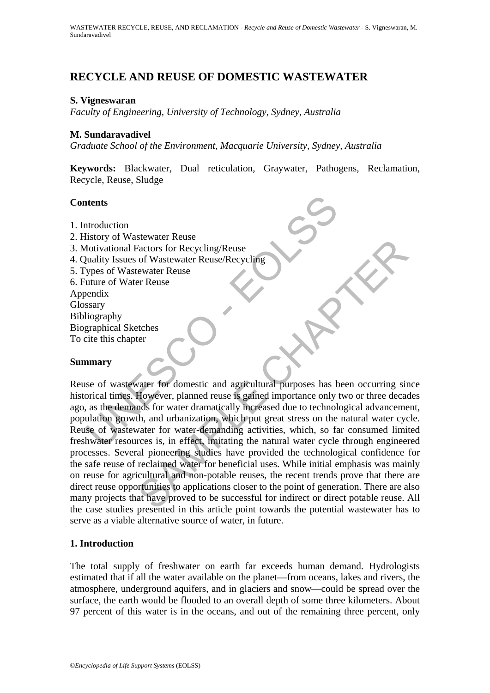# **RECYCLE AND REUSE OF DOMESTIC WASTEWATER**

## **S. Vigneswaran**

*Faculty of Engineering, University of Technology, Sydney, Australia* 

#### **M. Sundaravadivel**

*Graduate School of the Environment, Macquarie University, Sydney, Australia* 

**Keywords:** Blackwater, Dual reticulation, Graywater, Pathogens, Reclamation, Recycle, Reuse, Sludge

#### **Contents**

- 1. Introduction
- 2. History of Wastewater Reuse
- 3. Motivational Factors for Recycling/Reuse
- 4. Quality Issues of Wastewater Reuse/Recycling
- 5. Types of Wastewater Reuse
- 6. Future of Water Reuse

Appendix Glossary Bibliography Biographical Sketches

To cite this chapter

#### **Summary**

**Introduction**<br>
Introduction<br>
Instory of Wastewater Reuse<br>
Interval of Mastewater Reuse<br>
Vivality Issues of Wastewater Reuse/Recycling<br>
Vipes of Wastewater Reuse<br>
Interval of Water Reuse<br>
Interval of Water Reuse<br>
Interval SENEMATE NEWSLETTING THE CHAPTER IN THE REAL TRACKET OF RECYCLINE (THERE IS THE REVISED FOR THE REVISED FOR THE REVISED ON THE REVISED ON THE HOWEVER, planned reuse is gained importance only two or three decades for water Reuse of wastewater for domestic and agricultural purposes has been occurring since historical times. However, planned reuse is gained importance only two or three decades ago, as the demands for water dramatically increased due to technological advancement, population growth, and urbanization, which put great stress on the natural water cycle. Reuse of wastewater for water-demanding activities, which, so far consumed limited freshwater resources is, in effect, imitating the natural water cycle through engineered processes. Several pioneering studies have provided the technological confidence for the safe reuse of reclaimed water for beneficial uses. While initial emphasis was mainly on reuse for agricultural and non-potable reuses, the recent trends prove that there are direct reuse opportunities to applications closer to the point of generation. There are also many projects that have proved to be successful for indirect or direct potable reuse. All the case studies presented in this article point towards the potential wastewater has to serve as a viable alternative source of water, in future.

## **1. Introduction**

The total supply of freshwater on earth far exceeds human demand. Hydrologists estimated that if all the water available on the planet—from oceans, lakes and rivers, the atmosphere, underground aquifers, and in glaciers and snow—could be spread over the surface, the earth would be flooded to an overall depth of some three kilometers. About 97 percent of this water is in the oceans, and out of the remaining three percent, only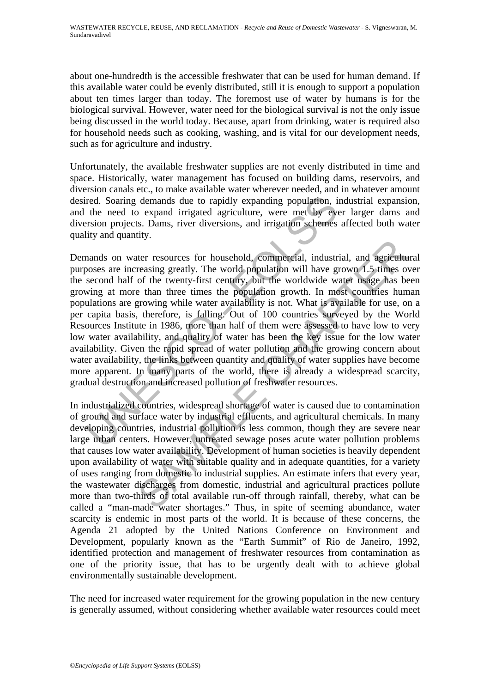about one-hundredth is the accessible freshwater that can be used for human demand. If this available water could be evenly distributed, still it is enough to support a population about ten times larger than today. The foremost use of water by humans is for the biological survival. However, water need for the biological survival is not the only issue being discussed in the world today. Because, apart from drinking, water is required also for household needs such as cooking, washing, and is vital for our development needs, such as for agriculture and industry.

Unfortunately, the available freshwater supplies are not evenly distributed in time and space. Historically, water management has focused on building dams, reservoirs, and diversion canals etc., to make available water wherever needed, and in whatever amount desired. Soaring demands due to rapidly expanding population, industrial expansion, and the need to expand irrigated agriculture, were met by ever larger dams and diversion projects. Dams, river diversions, and irrigation schemes affected both water quality and quantity.

red. Soaring demands due to rapidly expanding population, ind<br>the need to expand irrigated agriculture, were met by ever<br>rsion projects. Dams, river diversions, and irrigation schemes af<br>ity and quantity.<br>mands on water re Exercises for household, commercial, industrial, and agriculture<br>reasing greatly. The world population will have grown 1.5 times or<br>of the twenty-first century, but the worldwide water using has been<br>e than three times the Demands on water resources for household, commercial, industrial, and agricultural purposes are increasing greatly. The world population will have grown 1.5 times over the second half of the twenty-first century, but the worldwide water usage has been growing at more than three times the population growth. In most countries human populations are growing while water availability is not. What is available for use, on a per capita basis, therefore, is falling. Out of 100 countries surveyed by the World Resources Institute in 1986, more than half of them were assessed to have low to very low water availability, and quality of water has been the key issue for the low water availability. Given the rapid spread of water pollution and the growing concern about water availability, the links between quantity and quality of water supplies have become more apparent. In many parts of the world, there is already a widespread scarcity, gradual destruction and increased pollution of freshwater resources.

In industrialized countries, widespread shortage of water is caused due to contamination of ground and surface water by industrial effluents, and agricultural chemicals. In many developing countries, industrial pollution is less common, though they are severe near large urban centers. However, untreated sewage poses acute water pollution problems that causes low water availability. Development of human societies is heavily dependent upon availability of water with suitable quality and in adequate quantities, for a variety of uses ranging from domestic to industrial supplies. An estimate infers that every year, the wastewater discharges from domestic, industrial and agricultural practices pollute more than two-thirds of total available run-off through rainfall, thereby, what can be called a "man-made water shortages." Thus, in spite of seeming abundance, water scarcity is endemic in most parts of the world. It is because of these concerns, the Agenda 21 adopted by the United Nations Conference on Environment and Development, popularly known as the "Earth Summit" of Rio de Janeiro, 1992, identified protection and management of freshwater resources from contamination as one of the priority issue, that has to be urgently dealt with to achieve global environmentally sustainable development.

The need for increased water requirement for the growing population in the new century is generally assumed, without considering whether available water resources could meet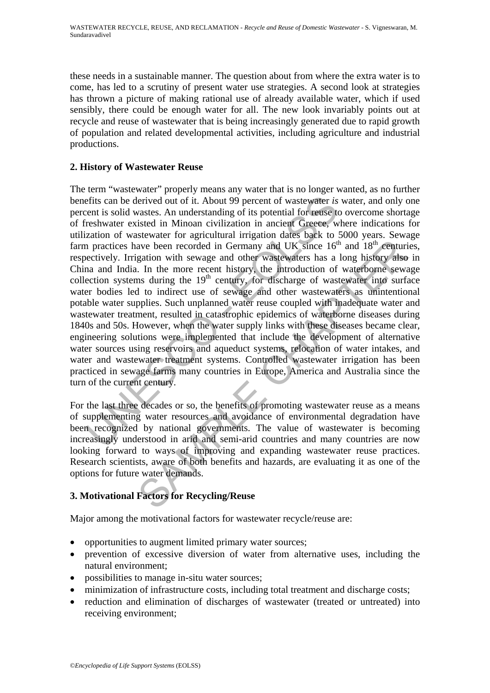these needs in a sustainable manner. The question about from where the extra water is to come, has led to a scrutiny of present water use strategies. A second look at strategies has thrown a picture of making rational use of already available water, which if used sensibly, there could be enough water for all. The new look invariably points out at recycle and reuse of wastewater that is being increasingly generated due to rapid growth of population and related developmental activities, including agriculture and industrial productions.

# **2. History of Wastewater Reuse**

efits can be derived out of it. About 99 percent of wastewater *is* went is solid wastes. An understanding of its potential for reuse to ceshwater existed in Minoan civilization in ancient Greece, when a practices have bee and a dereaded in Germany and UK since 16<sup>th</sup> and 18<sup>th</sup> centuri<br>gation with sewage and other wastewaters has a long history also<br>i. In the more recent history, the introduction of waterborne sewa<br>in the 19<sup>th</sup> centurity, The term "wastewater" properly means any water that is no longer wanted, as no further benefits can be derived out of it. About 99 percent of wastewater *is* water, and only one percent is solid wastes. An understanding of its potential for reuse to overcome shortage of freshwater existed in Minoan civilization in ancient Greece, where indications for utilization of wastewater for agricultural irrigation dates back to 5000 years. Sewage farm practices have been recorded in Germany and UK since  $16<sup>th</sup>$  and  $18<sup>th</sup>$  centuries, respectively. Irrigation with sewage and other wastewaters has a long history also in China and India. In the more recent history, the introduction of waterborne sewage collection systems during the  $19<sup>th</sup>$  century, for discharge of wastewater into surface water bodies led to indirect use of sewage and other wastewaters as unintentional potable water supplies. Such unplanned water reuse coupled with inadequate water and wastewater treatment, resulted in catastrophic epidemics of waterborne diseases during 1840s and 50s. However, when the water supply links with these diseases became clear, engineering solutions were implemented that include the development of alternative water sources using reservoirs and aqueduct systems, relocation of water intakes, and water and wastewater treatment systems. Controlled wastewater irrigation has been practiced in sewage farms many countries in Europe, America and Australia since the turn of the current century.

For the last three decades or so, the benefits of promoting wastewater reuse as a means of supplementing water resources and avoidance of environmental degradation have been recognized by national governments. The value of wastewater is becoming increasingly understood in arid and semi-arid countries and many countries are now looking forward to ways of improving and expanding wastewater reuse practices. Research scientists, aware of both benefits and hazards, are evaluating it as one of the options for future water demands.

# **3. Motivational Factors for Recycling/Reuse**

Major among the motivational factors for wastewater recycle/reuse are:

- opportunities to augment limited primary water sources;
- prevention of excessive diversion of water from alternative uses, including the natural environment;
- possibilities to manage in-situ water sources;
- minimization of infrastructure costs, including total treatment and discharge costs;
- reduction and elimination of discharges of wastewater (treated or untreated) into receiving environment;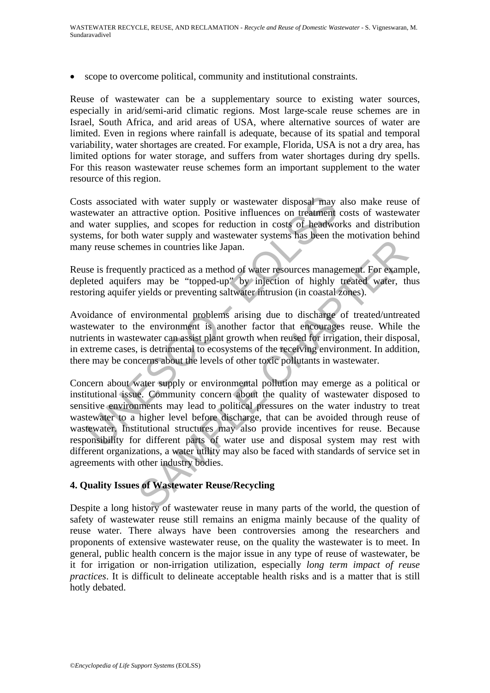• scope to overcome political, community and institutional constraints.

Reuse of wastewater can be a supplementary source to existing water sources, especially in arid/semi-arid climatic regions. Most large-scale reuse schemes are in Israel, South Africa, and arid areas of USA, where alternative sources of water are limited. Even in regions where rainfall is adequate, because of its spatial and temporal variability, water shortages are created. For example, Florida, USA is not a dry area, has limited options for water storage, and suffers from water shortages during dry spells. For this reason wastewater reuse schemes form an important supplement to the water resource of this region.

Costs associated with water supply or wastewater disposal may also make reuse of wastewater an attractive option. Positive influences on treatment costs of wastewater and water supplies, and scopes for reduction in costs of headworks and distribution systems, for both water supply and wastewater systems has been the motivation behind many reuse schemes in countries like Japan.

Reuse is frequently practiced as a method of water resources management. For example, depleted aquifers may be "topped-up" by injection of highly treated water, thus restoring aquifer yields or preventing saltwater intrusion (in coastal zones).

Avoidance of environmental problems arising due to discharge of treated/untreated wastewater to the environment is another factor that encourages reuse. While the nutrients in wastewater can assist plant growth when reused for irrigation, their disposal, in extreme cases, is detrimental to ecosystems of the receiving environment. In addition, there may be concerns about the levels of other toxic pollutants in wastewater.

ts associated with water supply or wastewater disposal may al<br>tewater an attractive option. Positive influences on treatment co<br>water supplies, and scopes for reduction in costs of headwork<br>ems, for both water supply and w France of the state in contribute the same of the world. The same of the same in countries like Japan.<br>
They meet in product the state of the system of highly tracted water, the pred-up' by injection of highly treated wat Concern about water supply or environmental pollution may emerge as a political or institutional issue. Community concern about the quality of wastewater disposed to sensitive environments may lead to political pressures on the water industry to treat wastewater to a higher level before discharge, that can be avoided through reuse of wastewater. Institutional structures may also provide incentives for reuse. Because responsibility for different parts of water use and disposal system may rest with different organizations, a water utility may also be faced with standards of service set in agreements with other industry bodies.

## **4. Quality Issues of Wastewater Reuse/Recycling**

Despite a long history of wastewater reuse in many parts of the world, the question of safety of wastewater reuse still remains an enigma mainly because of the quality of reuse water. There always have been controversies among the researchers and proponents of extensive wastewater reuse, on the quality the wastewater is to meet. In general, public health concern is the major issue in any type of reuse of wastewater, be it for irrigation or non-irrigation utilization, especially *long term impact of reuse practices*. It is difficult to delineate acceptable health risks and is a matter that is still hotly debated.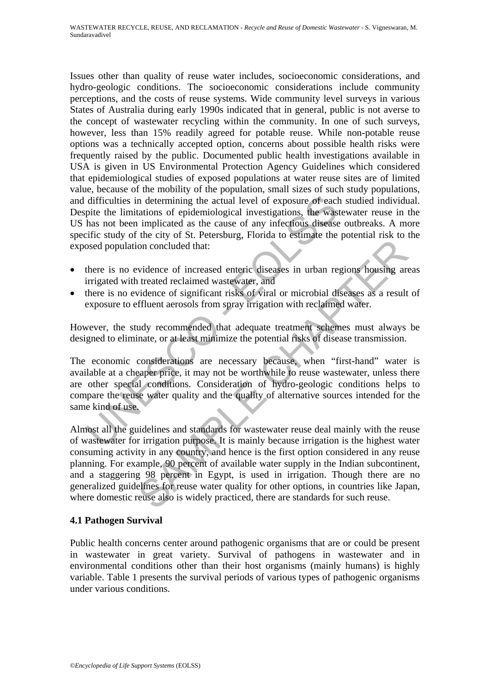difficulties in determining the actual level of exposure of each spite the limitations of epidemiological investigations, the wastev has not been implicated as the cause of any infectfous disease c ifce cause of any infect Issues other than quality of reuse water includes, socioeconomic considerations, and hydro-geologic conditions. The socioeconomic considerations include community perceptions, and the costs of reuse systems. Wide community level surveys in various States of Australia during early 1990s indicated that in general, public is not averse to the concept of wastewater recycling within the community. In one of such surveys, however, less than 15% readily agreed for potable reuse. While non-potable reuse options was a technically accepted option, concerns about possible health risks were frequently raised by the public. Documented public health investigations available in USA is given in US Environmental Protection Agency Guidelines which considered that epidemiological studies of exposed populations at water reuse sites are of limited value, because of the mobility of the population, small sizes of such study populations, and difficulties in determining the actual level of exposure of each studied individual. Despite the limitations of epidemiological investigations, the wastewater reuse in the US has not been implicated as the cause of any infectious disease outbreaks. A more specific study of the city of St. Petersburg, Florida to estimate the potential risk to the exposed population concluded that:

- there is no evidence of increased enteric diseases in urban regions housing areas irrigated with treated reclaimed wastewater, and
- there is no evidence of significant risks of viral or microbial diseases as a result of exposure to effluent aerosols from spray irrigation with reclaimed water.

However, the study recommended that adequate treatment schemes must always be designed to eliminate, or at least minimize the potential risks of disease transmission.

The economic considerations are necessary because, when "first-hand" water is available at a cheaper price, it may not be worthwhile to reuse wastewater, unless there are other special conditions. Consideration of hydro-geologic conditions helps to compare the reuse water quality and the quality of alternative sources intended for the same kind of use.

on concluded that:<br>
widence of increased enteric diseases in urban regions housing are<br>
treated reclaimed wastewater, and<br>
interact reclaimed wastewater, and<br>
invidence of significant risks of viral or microbial diseases a Almost all the guidelines and standards for wastewater reuse deal mainly with the reuse of wastewater for irrigation purpose. It is mainly because irrigation is the highest water consuming activity in any country, and hence is the first option considered in any reuse planning. For example, 90 percent of available water supply in the Indian subcontinent, and a staggering 98 percent in Egypt, is used in irrigation. Though there are no generalized guidelines for reuse water quality for other options, in countries like Japan, where domestic reuse also is widely practiced, there are standards for such reuse.

## **4.1 Pathogen Survival**

Public health concerns center around pathogenic organisms that are or could be present in wastewater in great variety. Survival of pathogens in wastewater and in environmental conditions other than their host organisms (mainly humans) is highly variable. Table 1 presents the survival periods of various types of pathogenic organisms under various conditions.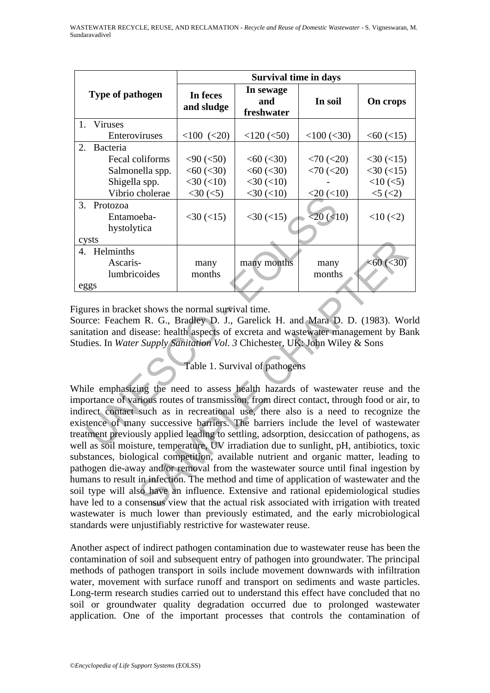|                                                                                                                                                                                                                                                                                                                                                                                                                                                                                                                                                  |                  | <b>Survival time in days</b> |                                |                   |                   |  |  |  |
|--------------------------------------------------------------------------------------------------------------------------------------------------------------------------------------------------------------------------------------------------------------------------------------------------------------------------------------------------------------------------------------------------------------------------------------------------------------------------------------------------------------------------------------------------|------------------|------------------------------|--------------------------------|-------------------|-------------------|--|--|--|
|                                                                                                                                                                                                                                                                                                                                                                                                                                                                                                                                                  | Type of pathogen | In feces<br>and sludge       | In sewage<br>and<br>freshwater | In soil           | On crops          |  |  |  |
| 1.                                                                                                                                                                                                                                                                                                                                                                                                                                                                                                                                               | <b>Viruses</b>   |                              |                                |                   |                   |  |  |  |
|                                                                                                                                                                                                                                                                                                                                                                                                                                                                                                                                                  | Enteroviruses    | $<100$ $(<20)$               | $<$ 120 $(<$ 50)               | $<$ 100 ( $<$ 30) | $< 60$ ( $< 15$ ) |  |  |  |
| $\overline{2}$ .                                                                                                                                                                                                                                                                                                                                                                                                                                                                                                                                 | Bacteria         |                              |                                |                   |                   |  |  |  |
|                                                                                                                                                                                                                                                                                                                                                                                                                                                                                                                                                  | Fecal coliforms  | $<$ 90 $(<$ 50)              | <60 (< 30)                     | $< 70$ ( $< 20$ ) | $<$ 30 $(<$ 15)   |  |  |  |
|                                                                                                                                                                                                                                                                                                                                                                                                                                                                                                                                                  | Salmonella spp.  | $<$ 60 $(<$ 30)              | <60 (< 30)                     | $< 70$ ( $< 20$ ) | $<$ 30 $(<$ 15)   |  |  |  |
|                                                                                                                                                                                                                                                                                                                                                                                                                                                                                                                                                  | Shigella spp.    | $<$ 30 $(<$ 10)              | $<$ 30 $(<$ 10)                |                   | $<10$ ( $<$ 5)    |  |  |  |
|                                                                                                                                                                                                                                                                                                                                                                                                                                                                                                                                                  | Vibrio cholerae  | $<$ 30 $(<$ 5)               | $<$ 30 $(<$ 10)                | $<20$ $(<10)$     | 5 (2)             |  |  |  |
| 3.                                                                                                                                                                                                                                                                                                                                                                                                                                                                                                                                               | Protozoa         |                              |                                |                   |                   |  |  |  |
|                                                                                                                                                                                                                                                                                                                                                                                                                                                                                                                                                  | Entamoeba-       | $<$ 30 $(<$ 15)              | $<$ 30 $(<$ 15)                | $<20$ ( $<$ 10)   | $<10$ ( $<2$ )    |  |  |  |
|                                                                                                                                                                                                                                                                                                                                                                                                                                                                                                                                                  | hystolytica      |                              |                                |                   |                   |  |  |  |
| cysts                                                                                                                                                                                                                                                                                                                                                                                                                                                                                                                                            |                  |                              |                                |                   |                   |  |  |  |
|                                                                                                                                                                                                                                                                                                                                                                                                                                                                                                                                                  | 4. Helminths     |                              |                                |                   |                   |  |  |  |
|                                                                                                                                                                                                                                                                                                                                                                                                                                                                                                                                                  | Ascaris-         | many                         | many months                    | many              | <60 (< 30)        |  |  |  |
|                                                                                                                                                                                                                                                                                                                                                                                                                                                                                                                                                  | lumbricoides     | months                       |                                | months            |                   |  |  |  |
| eggs                                                                                                                                                                                                                                                                                                                                                                                                                                                                                                                                             |                  |                              |                                |                   |                   |  |  |  |
| Figures in bracket shows the normal survival time.<br>Source: Feachem R. G., Bradley D. J., Garelick H. and Mara D. D. (1983). World<br>anitation and disease: health aspects of excreta and wastewater management by Ban<br>Studies. In Water Supply Sanitation Vol. 3 Chichester, UK: John Wiley & Sons<br>Table 1. Survival of pathogens                                                                                                                                                                                                      |                  |                              |                                |                   |                   |  |  |  |
| While emphasizing the need to assess health hazards of wastewater reuse and th<br>mportance of various routes of transmission, from direct contact, through food or air, to<br>ndirect contact such as in recreational use, there also is a need to recognize the<br>existence of many successive barriers. The barriers include the level of wastewate<br>reatment previously applied leading to settling, adsorption, desiccation of pathogens, a<br>well as soil moisture, temperature. UV irradiation due to sunlight, pH, antibiotics, toxi |                  |                              |                                |                   |                   |  |  |  |

many months many months many  $\approx$  60 (<30)<br>
coides months months months months  $\approx$  60 (<30)<br>
to the shows the normal survival time.<br>
The R. G., Bradley D. J., Garelick H. and Mara D. D. (1983). Wo<br>
sease: health aspects o While emphasizing the need to assess health hazards of wastewater reuse and the importance of various routes of transmission, from direct contact, through food or air, to indirect contact such as in recreational use, there also is a need to recognize the existence of many successive barriers. The barriers include the level of wastewater treatment previously applied leading to settling, adsorption, desiccation of pathogens, as well as soil moisture, temperature, UV irradiation due to sunlight, pH, antibiotics, toxic substances, biological competition, available nutrient and organic matter, leading to pathogen die-away and/or removal from the wastewater source until final ingestion by humans to result in infection. The method and time of application of wastewater and the soil type will also have an influence. Extensive and rational epidemiological studies have led to a consensus view that the actual risk associated with irrigation with treated wastewater is much lower than previously estimated, and the early microbiological standards were unjustifiably restrictive for wastewater reuse.

Another aspect of indirect pathogen contamination due to wastewater reuse has been the contamination of soil and subsequent entry of pathogen into groundwater. The principal methods of pathogen transport in soils include movement downwards with infiltration water, movement with surface runoff and transport on sediments and waste particles. Long-term research studies carried out to understand this effect have concluded that no soil or groundwater quality degradation occurred due to prolonged wastewater application. One of the important processes that controls the contamination of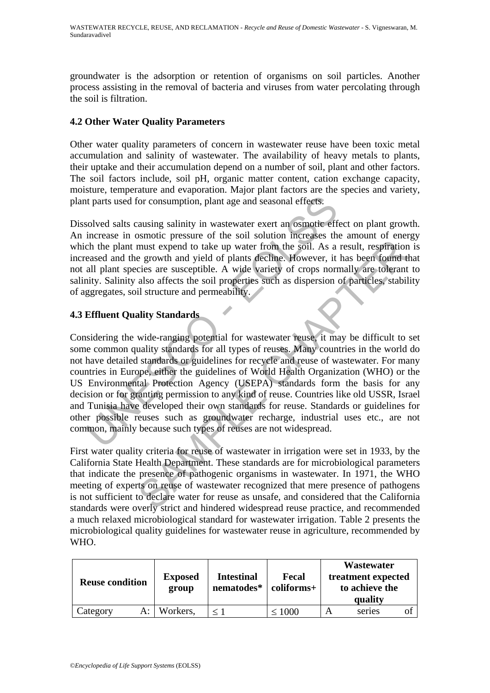groundwater is the adsorption or retention of organisms on soil particles. Another process assisting in the removal of bacteria and viruses from water percolating through the soil is filtration.

## **4.2 Other Water Quality Parameters**

Other water quality parameters of concern in wastewater reuse have been toxic metal accumulation and salinity of wastewater. The availability of heavy metals to plants, their uptake and their accumulation depend on a number of soil, plant and other factors. The soil factors include, soil pH, organic matter content, cation exchange capacity, moisture, temperature and evaporation. Major plant factors are the species and variety, plant parts used for consumption, plant age and seasonal effects.

Dissolved salts causing salinity in wastewater exert an osmotic effect on plant growth. An increase in osmotic pressure of the soil solution increases the amount of energy which the plant must expend to take up water from the soil. As a result, respiration is increased and the growth and yield of plants decline. However, it has been found that not all plant species are susceptible. A wide variety of crops normally are tolerant to salinity. Salinity also affects the soil properties such as dispersion of particles, stability of aggregates, soil structure and permeability.

# **4.3 Effluent Quality Standards**

It parts used for consumption, plant age and seasonal effects.<br>
Solved salts causing salinity in wastewater exert an osmotic effect<br>
increase in osmotic pressure of the soil solution increases the<br>
increase in osmotic pres Extrained to take up water from the soil. As a result, respiration<br>must expend to take up water from the soil. As a result, respiration<br>e growth and yield of plants decline. However, it has been found the<br>cise are suscepti Considering the wide-ranging potential for wastewater reuse, it may be difficult to set some common quality standards for all types of reuses. Many countries in the world do not have detailed standards or guidelines for recycle and reuse of wastewater. For many countries in Europe, either the guidelines of World Health Organization (WHO) or the US Environmental Protection Agency (USEPA) standards form the basis for any decision or for granting permission to any kind of reuse. Countries like old USSR, Israel and Tunisia have developed their own standards for reuse. Standards or guidelines for other possible reuses such as groundwater recharge, industrial uses etc., are not common, mainly because such types of reuses are not widespread.

First water quality criteria for reuse of wastewater in irrigation were set in 1933, by the California State Health Department. These standards are for microbiological parameters that indicate the presence of pathogenic organisms in wastewater. In 1971, the WHO meeting of experts on reuse of wastewater recognized that mere presence of pathogens is not sufficient to declare water for reuse as unsafe, and considered that the California standards were overly strict and hindered widespread reuse practice, and recommended a much relaxed microbiological standard for wastewater irrigation. Table 2 presents the microbiological quality guidelines for wastewater reuse in agriculture, recommended by WHO.

| <b>Reuse condition</b> | <b>Exposed</b><br>group | <b>Intestinal</b><br>nematodes* | Fecal<br>coliforms+ | Wastewater<br>treatment expected<br>to achieve the<br>quality |    |
|------------------------|-------------------------|---------------------------------|---------------------|---------------------------------------------------------------|----|
| Category               | Workers,<br>A: I        |                                 | $\leq 1000$         | series                                                        | O1 |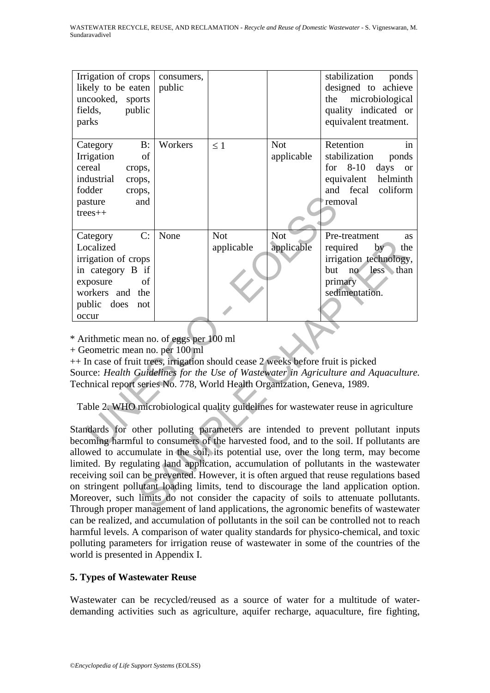| Irrigation of crops<br>likely to be eaten<br>uncooked, sports<br>public<br>fields,<br>parks                                                                                                                                                                                                                                                                                                                                                                                                                     | consumers,<br>public |                          |                          | stabilization<br>ponds<br>designed to achieve<br>microbiological<br>the<br>quality indicated or<br>equivalent treatment.                        |  |
|-----------------------------------------------------------------------------------------------------------------------------------------------------------------------------------------------------------------------------------------------------------------------------------------------------------------------------------------------------------------------------------------------------------------------------------------------------------------------------------------------------------------|----------------------|--------------------------|--------------------------|-------------------------------------------------------------------------------------------------------------------------------------------------|--|
| $B$ :<br>Category<br>Irrigation<br>of<br>cereal<br>crops,<br>industrial<br>crops,<br>fodder<br>crops,<br>and<br>pasture<br>$trees++$                                                                                                                                                                                                                                                                                                                                                                            | Workers              | $\leq 1$                 | <b>Not</b><br>applicable | Retention<br>in<br>stabilization<br>ponds<br>for<br>$8 - 10$<br>days<br><b>or</b><br>helminth<br>equivalent<br>coliform<br>and fecal<br>removal |  |
| C:<br>Category<br>Localized<br>irrigation of crops<br>in category B if<br>exposure<br>οf<br>workers and the<br>public does<br>not<br>occur                                                                                                                                                                                                                                                                                                                                                                      | None                 | <b>Not</b><br>applicable | Not<br>applicable        | Pre-treatment<br><b>as</b><br>required<br>by<br>the<br>irrigation technology,<br>no<br>less than<br>but<br>primary<br>sedimentation.            |  |
| * Arithmetic mean no. of eggs per 100 ml<br>+ Geometric mean no. per 100 ml<br>++ In case of fruit trees, irrigation should cease 2 weeks before fruit is picked<br>Source: Health Guidelines for the Use of Wastewater in Agriculture and Aquaculture<br>Technical report series No. 778, World Health Organization, Geneva, 1989.<br>Table 2. WHO microbiological quality guidelines for wastewater reuse in agriculture<br>Standards for other polluting parameters are intended to prevent pollutant inputs |                      |                          |                          |                                                                                                                                                 |  |
|                                                                                                                                                                                                                                                                                                                                                                                                                                                                                                                 |                      |                          |                          | becoming harmful to consumers of the harvested food, and to the soil. If pollutants are                                                         |  |

From the state of the control of the control of the state of the control of the control of the control of the control of the control of the control of the control of the control of the control of the control of the control Standards for other polluting parameters are intended to prevent pollutant inputs becoming harmful to consumers of the harvested food, and to the soil. If pollutants are allowed to accumulate in the soil, its potential use, over the long term, may become limited. By regulating land application, accumulation of pollutants in the wastewater receiving soil can be prevented. However, it is often argued that reuse regulations based on stringent pollutant loading limits, tend to discourage the land application option. Moreover, such limits do not consider the capacity of soils to attenuate pollutants. Through proper management of land applications, the agronomic benefits of wastewater can be realized, and accumulation of pollutants in the soil can be controlled not to reach harmful levels. A comparison of water quality standards for physico-chemical, and toxic polluting parameters for irrigation reuse of wastewater in some of the countries of the world is presented in Appendix I.

## **5. Types of Wastewater Reuse**

Wastewater can be recycled/reused as a source of water for a multitude of waterdemanding activities such as agriculture, aquifer recharge, aquaculture, fire fighting,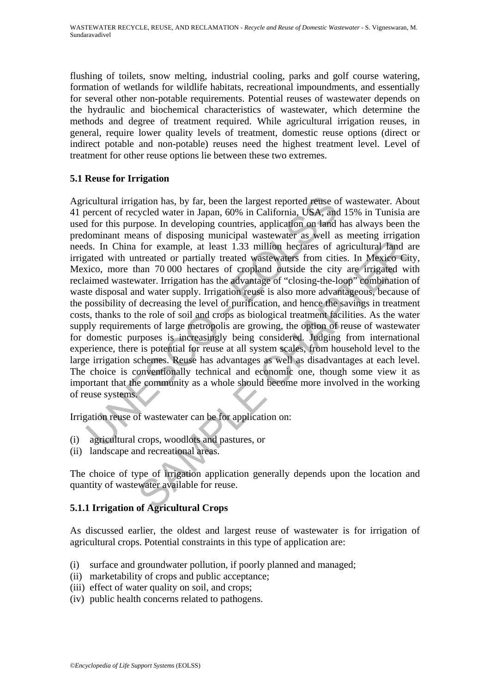flushing of toilets, snow melting, industrial cooling, parks and golf course watering, formation of wetlands for wildlife habitats, recreational impoundments, and essentially for several other non-potable requirements. Potential reuses of wastewater depends on the hydraulic and biochemical characteristics of wastewater, which determine the methods and degree of treatment required. While agricultural irrigation reuses, in general, require lower quality levels of treatment, domestic reuse options (direct or indirect potable and non-potable) reuses need the highest treatment level. Level of treatment for other reuse options lie between these two extremes.

# **5.1 Reuse for Irrigation**

icultural irrigation has, by far, been the largest reported reuse of vercent of recycled water in Japan, 60% in California, USA, and 1 for this purpose. In developing countries, application on land ha lominant means of dis For example, at least 1.33 million hectares of agricultural land at the for example, at least 1.33 million hectares of agricultural land at the advantage of "closing-the-loop" conduction 70 000 hectares of cropland outside Agricultural irrigation has, by far, been the largest reported reuse of wastewater. About 41 percent of recycled water in Japan, 60% in California, USA, and 15% in Tunisia are used for this purpose. In developing countries, application on land has always been the predominant means of disposing municipal wastewater as well as meeting irrigation needs. In China for example, at least 1.33 million hectares of agricultural land are irrigated with untreated or partially treated wastewaters from cities. In Mexico City, Mexico, more than 70 000 hectares of cropland outside the city are irrigated with reclaimed wastewater. Irrigation has the advantage of "closing-the-loop" combination of waste disposal and water supply. Irrigation reuse is also more advantageous, because of the possibility of decreasing the level of purification, and hence the savings in treatment costs, thanks to the role of soil and crops as biological treatment facilities. As the water supply requirements of large metropolis are growing, the option of reuse of wastewater for domestic purposes is increasingly being considered. Judging from international experience, there is potential for reuse at all system scales, from household level to the large irrigation schemes. Reuse has advantages as well as disadvantages at each level. The choice is conventionally technical and economic one, though some view it as important that the community as a whole should become more involved in the working of reuse systems.

Irrigation reuse of wastewater can be for application on:

- (i) agricultural crops, woodlots and pastures, or
- (ii) landscape and recreational areas.

The choice of type of irrigation application generally depends upon the location and quantity of wastewater available for reuse.

## **5.1.1 Irrigation of Agricultural Crops**

As discussed earlier, the oldest and largest reuse of wastewater is for irrigation of agricultural crops. Potential constraints in this type of application are:

- (i) surface and groundwater pollution, if poorly planned and managed;
- (ii) marketability of crops and public acceptance;
- (iii) effect of water quality on soil, and crops;
- (iv) public health concerns related to pathogens.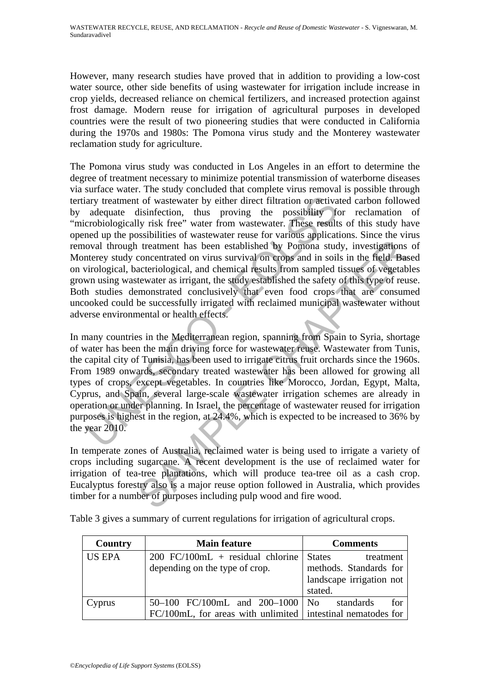However, many research studies have proved that in addition to providing a low-cost water source, other side benefits of using wastewater for irrigation include increase in crop yields, decreased reliance on chemical fertilizers, and increased protection against frost damage. Modern reuse for irrigation of agricultural purposes in developed countries were the result of two pioneering studies that were conducted in California during the 1970s and 1980s: The Pomona virus study and the Monterey wastewater reclamation study for agriculture.

ary treatment of wastewater by either direct filtration or activate<br>adequate disinfection, thus proving the possibility for<br>crobiologically risk free" water from wastewater. These results or<br>examplication of the possibilit The Pomona virus study was conducted in Los Angeles in an effort to determine the degree of treatment necessary to minimize potential transmission of waterborne diseases via surface water. The study concluded that complete virus removal is possible through tertiary treatment of wastewater by either direct filtration or activated carbon followed by adequate disinfection, thus proving the possibility for reclamation of "microbiologically risk free" water from wastewater. These results of this study have opened up the possibilities of wastewater reuse for various applications. Since the virus removal through treatment has been established by Pomona study, investigations of Monterey study concentrated on virus survival on crops and in soils in the field. Based on virological, bacteriological, and chemical results from sampled tissues of vegetables grown using wastewater as irrigant, the study established the safety of this type of reuse. Both studies demonstrated conclusively that even food crops that are consumed uncooked could be successfully irrigated with reclaimed municipal wastewater without adverse environmental or health effects.

It reatment has been established by Pomona study, investigations<br>concentrated on virus survival on erops and in soils in the field. Bas<br>acteriological, and chemical results from sampled tissues of vegetab<br>tewater as irriga In many countries in the Mediterranean region, spanning from Spain to Syria, shortage of water has been the main driving force for wastewater reuse. Wastewater from Tunis, the capital city of Tunisia, has been used to irrigate citrus fruit orchards since the 1960s. From 1989 onwards, secondary treated wastewater has been allowed for growing all types of crops, except vegetables. In countries like Morocco, Jordan, Egypt, Malta, Cyprus, and Spain, several large-scale wastewater irrigation schemes are already in operation or under planning. In Israel, the percentage of wastewater reused for irrigation purposes is highest in the region, at 24.4%, which is expected to be increased to 36% by the year 2010.

In temperate zones of Australia, reclaimed water is being used to irrigate a variety of crops including sugarcane. A recent development is the use of reclaimed water for irrigation of tea-tree plantations, which will produce tea-tree oil as a cash crop. Eucalyptus forestry also is a major reuse option followed in Australia, which provides timber for a number of purposes including pulp wood and fire wood.

| Country       | <b>Main feature</b>                                            | <b>Comments</b>            |
|---------------|----------------------------------------------------------------|----------------------------|
| <b>US EPA</b> | $200$ FC/100mL + residual chlorine                             | <b>States</b><br>treatment |
|               | depending on the type of crop.                                 | methods. Standards for     |
|               |                                                                | landscape irrigation not   |
|               |                                                                | stated.                    |
| Cyprus        | 50–100 FC/100mL and $200-1000$ No                              | for<br>standards           |
|               | $FC/100mL$ , for areas with unlimited intestinal nematodes for |                            |

Table 3 gives a summary of current regulations for irrigation of agricultural crops.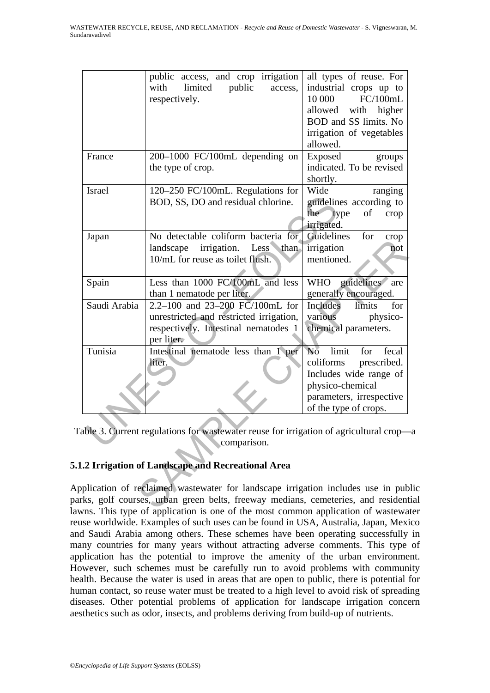|                                                                                                      | public access, and crop irrigation<br>limited<br>public<br>with<br>access,<br>respectively.                                                                                                                                                       | all types of reuse. For<br>industrial crops up to<br>FC/100mL<br>10 000<br>allowed with higher<br>BOD and SS limits. No<br>irrigation of vegetables<br>allowed. |  |  |  |  |
|------------------------------------------------------------------------------------------------------|---------------------------------------------------------------------------------------------------------------------------------------------------------------------------------------------------------------------------------------------------|-----------------------------------------------------------------------------------------------------------------------------------------------------------------|--|--|--|--|
| France                                                                                               | 200-1000 FC/100mL depending on<br>the type of crop.                                                                                                                                                                                               | Exposed<br>groups<br>indicated. To be revised<br>shortly.                                                                                                       |  |  |  |  |
| <b>Israel</b>                                                                                        | 120–250 FC/100mL. Regulations for<br>BOD, SS, DO and residual chlorine.                                                                                                                                                                           | Wide<br>ranging<br>guidelines according to<br>the<br>type<br>of<br>crop<br>irrigated.                                                                           |  |  |  |  |
| Japan                                                                                                | No detectable coliform bacteria for<br>irrigation. Less than<br>landscape<br>10/mL for reuse as toilet flush.                                                                                                                                     | for<br>Guidelines<br>crop<br>irrigation<br>not<br>mentioned.                                                                                                    |  |  |  |  |
| Spain                                                                                                | Less than 1000 FC/100mL and less<br>than 1 nematode per liter.                                                                                                                                                                                    | WHO guidelines<br>are<br>generally encouraged.                                                                                                                  |  |  |  |  |
| Saudi Arabia                                                                                         | 2.2-100 and 23-200 FC/100mL for<br>unrestricted and restricted irrigation,<br>respectively. Intestinal nematodes 1<br>per liter.                                                                                                                  | Includes<br>limits<br>for<br>various<br>physico-<br>chemical parameters.                                                                                        |  |  |  |  |
| Tunisia                                                                                              | Intestinal nematode less than 1 per<br>liter.                                                                                                                                                                                                     | No limit<br>fecal<br>for<br>coliforms<br>prescribed.<br>Includes wide range of<br>physico-chemical<br>parameters, irrespective<br>of the type of crops.         |  |  |  |  |
| able 3. Current regulations for wastewater reuse for irrigation of agricultural crop-<br>comparison. |                                                                                                                                                                                                                                                   |                                                                                                                                                                 |  |  |  |  |
| .2 Irrigation of Landscape and Recreational Area                                                     |                                                                                                                                                                                                                                                   |                                                                                                                                                                 |  |  |  |  |
|                                                                                                      | plication of reclaimed wastewater for landscape irrigation includes use in pub<br>ks, golf courses, urban green belts, freeway medians, cemeteries, and resident<br>me This type of configation is one of the most common configation of mosterno |                                                                                                                                                                 |  |  |  |  |

Table 3. Current regulations for wastewater reuse for irrigation of agricultural crop—a comparison.

# **5.1.2 Irrigation of Landscape and Recreational Area**

Application of reclaimed wastewater for landscape irrigation includes use in public parks, golf courses, urban green belts, freeway medians, cemeteries, and residential lawns. This type of application is one of the most common application of wastewater reuse worldwide. Examples of such uses can be found in USA, Australia, Japan, Mexico and Saudi Arabia among others. These schemes have been operating successfully in many countries for many years without attracting adverse comments. This type of application has the potential to improve the amenity of the urban environment. However, such schemes must be carefully run to avoid problems with community health. Because the water is used in areas that are open to public, there is potential for human contact, so reuse water must be treated to a high level to avoid risk of spreading diseases. Other potential problems of application for landscape irrigation concern aesthetics such as odor, insects, and problems deriving from build-up of nutrients.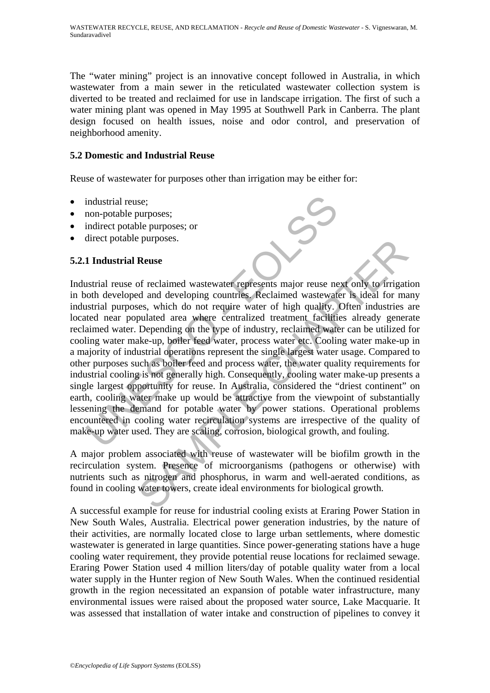The "water mining" project is an innovative concept followed in Australia, in which wastewater from a main sewer in the reticulated wastewater collection system is diverted to be treated and reclaimed for use in landscape irrigation. The first of such a water mining plant was opened in May 1995 at Southwell Park in Canberra. The plant design focused on health issues, noise and odor control, and preservation of neighborhood amenity.

## **5.2 Domestic and Industrial Reuse**

Reuse of wastewater for purposes other than irrigation may be either for:

- industrial reuse:
- non-potable purposes;
- indirect potable purposes; or
- direct potable purposes.

# **5.2.1 Industrial Reuse**

industrial reuse;<br>
non-potable purposes;<br>
indirect potable purposes;<br>
indirect potable purposes;<br>
indirect potable purposes.<br>
1 **Industrial Reuse**<br>
1 **Industrial Pur**oses, which do not require water of high quality. Of<br>
th Purposes.<br>
Reuse<br>
of reclaimed wastewater represents major reuse next only to irrigatid<br>
ed and developing countries. Reclaimed wastewater is ideal for may<br>
ese, which do not require water of high quality. Often industries Industrial reuse of reclaimed wastewater represents major reuse next only to irrigation in both developed and developing countries. Reclaimed wastewater is ideal for many industrial purposes, which do not require water of high quality. Often industries are located near populated area where centralized treatment facilities already generate reclaimed water. Depending on the type of industry, reclaimed water can be utilized for cooling water make-up, boiler feed water, process water etc. Cooling water make-up in a majority of industrial operations represent the single largest water usage. Compared to other purposes such as boiler feed and process water, the water quality requirements for industrial cooling is not generally high. Consequently, cooling water make-up presents a single largest opportunity for reuse. In Australia, considered the "driest continent" on earth, cooling water make up would be attractive from the viewpoint of substantially lessening the demand for potable water by power stations. Operational problems encountered in cooling water recirculation systems are irrespective of the quality of make-up water used. They are scaling, corrosion, biological growth, and fouling.

A major problem associated with reuse of wastewater will be biofilm growth in the recirculation system. Presence of microorganisms (pathogens or otherwise) with nutrients such as nitrogen and phosphorus, in warm and well-aerated conditions, as found in cooling water towers, create ideal environments for biological growth.

A successful example for reuse for industrial cooling exists at Eraring Power Station in New South Wales, Australia. Electrical power generation industries, by the nature of their activities, are normally located close to large urban settlements, where domestic wastewater is generated in large quantities. Since power-generating stations have a huge cooling water requirement, they provide potential reuse locations for reclaimed sewage. Eraring Power Station used 4 million liters/day of potable quality water from a local water supply in the Hunter region of New South Wales. When the continued residential growth in the region necessitated an expansion of potable water infrastructure, many environmental issues were raised about the proposed water source, Lake Macquarie. It was assessed that installation of water intake and construction of pipelines to convey it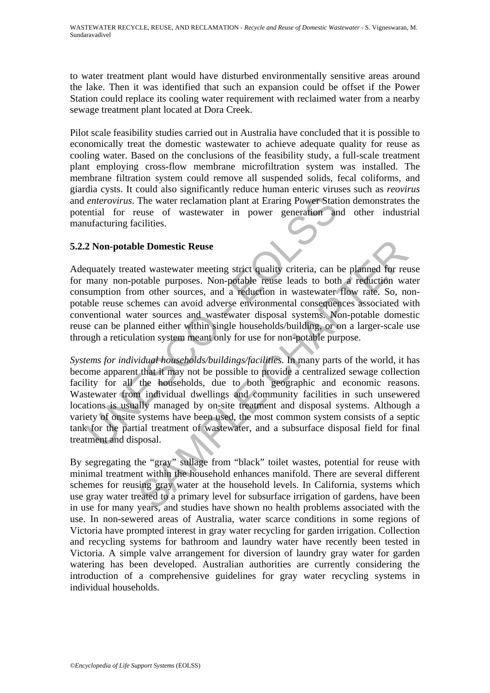to water treatment plant would have disturbed environmentally sensitive areas around the lake. Then it was identified that such an expansion could be offset if the Power Station could replace its cooling water requirement with reclaimed water from a nearby sewage treatment plant located at Dora Creek.

Pilot scale feasibility studies carried out in Australia have concluded that it is possible to economically treat the domestic wastewater to achieve adequate quality for reuse as cooling water. Based on the conclusions of the feasibility study, a full-scale treatment plant employing cross-flow membrane microfiltration system was installed. The membrane filtration system could remove all suspended solids, fecal coliforms, and giardia cysts. It could also significantly reduce human enteric viruses such as *reovirus*  and *enterovirus*. The water reclamation plant at Eraring Power Station demonstrates the potential for reuse of wastewater in power generation and other industrial manufacturing facilities.

## **5.2.2 Non-potable Domestic Reuse**

Adequately treated wastewater meeting strict quality criteria, can be planned for reuse for many non-potable purposes. Non-potable reuse leads to both a reduction water consumption from other sources, and a reduction in wastewater flow rate. So, nonpotable reuse schemes can avoid adverse environmental consequences associated with conventional water sources and wastewater disposal systems. Non-potable domestic reuse can be planned either within single households/building, or on a larger-scale use through a reticulation system meant only for use for non-potable purpose.

enterovirus. The water reclamation plant at Eraring Power Station<br>ential for reuse of wastewater in power generation and<br>unfacturing facilities.<br>2 Non-potable Domestic Reuse<br>equately treated wastewater meeting strict quali de **Domestic Reuse**<br>
ed wastewater meeting strict quality criteria, can be planned for retotable purposes. Non-potable reuse leads to both a reduction was<br>
mother sources, and a reduction in wastewater flow rate. So, no<br>
m *Systems for individual households/buildings/facilities.* In many parts of the world, it has become apparent that it may not be possible to provide a centralized sewage collection facility for all the households, due to both geographic and economic reasons. Wastewater from individual dwellings and community facilities in such unsewered locations is usually managed by on-site treatment and disposal systems. Although a variety of onsite systems have been used, the most common system consists of a septic tank for the partial treatment of wastewater, and a subsurface disposal field for final treatment and disposal.

By segregating the "gray" sullage from "black" toilet wastes, potential for reuse with minimal treatment within the household enhances manifold. There are several different schemes for reusing gray water at the household levels. In California, systems which use gray water treated to a primary level for subsurface irrigation of gardens, have been in use for many years, and studies have shown no health problems associated with the use. In non-sewered areas of Australia, water scarce conditions in some regions of Victoria have prompted interest in gray water recycling for garden irrigation. Collection and recycling systems for bathroom and laundry water have recently been tested in Victoria. A simple valve arrangement for diversion of laundry gray water for garden watering has been developed. Australian authorities are currently considering the introduction of a comprehensive guidelines for gray water recycling systems in individual households.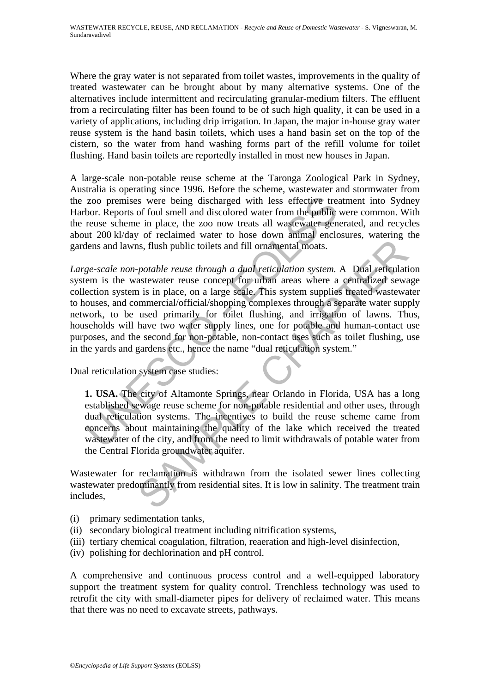Where the gray water is not separated from toilet wastes, improvements in the quality of treated wastewater can be brought about by many alternative systems. One of the alternatives include intermittent and recirculating granular-medium filters. The effluent from a recirculating filter has been found to be of such high quality, it can be used in a variety of applications, including drip irrigation. In Japan, the major in-house gray water reuse system is the hand basin toilets, which uses a hand basin set on the top of the cistern, so the water from hand washing forms part of the refill volume for toilet flushing. Hand basin toilets are reportedly installed in most new houses in Japan.

A large-scale non-potable reuse scheme at the Taronga Zoological Park in Sydney, Australia is operating since 1996. Before the scheme, wastewater and stormwater from the zoo premises were being discharged with less effective treatment into Sydney Harbor. Reports of foul smell and discolored water from the public were common. With the reuse scheme in place, the zoo now treats all wastewater generated, and recycles about 200 kl/day of reclaimed water to hose down animal enclosures, watering the gardens and lawns, flush public toilets and fill ornamental moats.

zoo premises were being discharged with less effective treatt<br>bor. Reports of foul smell and discolored water from the public we<br>reuse scheme in place, the zoo now treats all wastewater generate<br>that 200 kl/day of reclaime In this method of the late with a comparison of the solution system. A paid reticulation system as where a centralized sewas as where a centralized servation is in place, on a large scale. This system supplies treated wast *Large-scale non-potable reuse through a dual reticulation system.* A Dual reticulation system is the wastewater reuse concept for urban areas where a centralized sewage collection system is in place, on a large scale. This system supplies treated wastewater to houses, and commercial/official/shopping complexes through a separate water supply network, to be used primarily for toilet flushing, and irrigation of lawns. Thus, households will have two water supply lines, one for potable and human-contact use purposes, and the second for non-potable, non-contact uses such as toilet flushing, use in the yards and gardens etc., hence the name "dual reticulation system."

Dual reticulation system case studies:

**1. USA.** The city of Altamonte Springs, near Orlando in Florida, USA has a long established sewage reuse scheme for non-potable residential and other uses, through dual reticulation systems. The incentives to build the reuse scheme came from concerns about maintaining the quality of the lake which received the treated wastewater of the city, and from the need to limit withdrawals of potable water from the Central Florida groundwater aquifer.

Wastewater for reclamation is withdrawn from the isolated sewer lines collecting wastewater predominantly from residential sites. It is low in salinity. The treatment train includes,

- (i) primary sedimentation tanks,
- (ii) secondary biological treatment including nitrification systems,
- (iii) tertiary chemical coagulation, filtration, reaeration and high-level disinfection,
- (iv) polishing for dechlorination and pH control.

A comprehensive and continuous process control and a well-equipped laboratory support the treatment system for quality control. Trenchless technology was used to retrofit the city with small-diameter pipes for delivery of reclaimed water. This means that there was no need to excavate streets, pathways.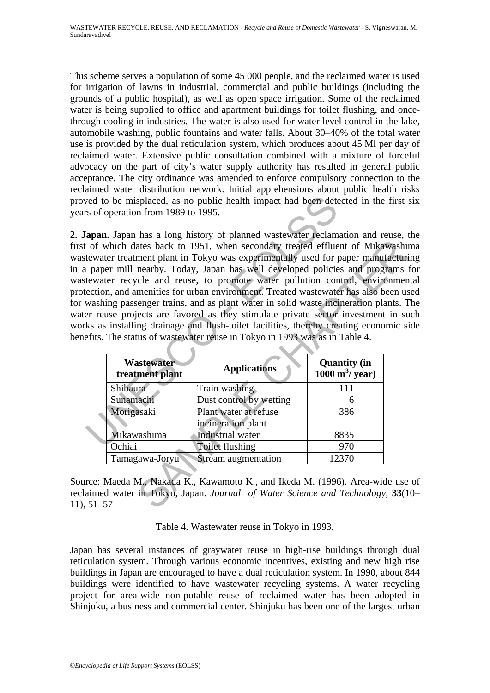This scheme serves a population of some 45 000 people, and the reclaimed water is used for irrigation of lawns in industrial, commercial and public buildings (including the grounds of a public hospital), as well as open space irrigation. Some of the reclaimed water is being supplied to office and apartment buildings for toilet flushing, and oncethrough cooling in industries. The water is also used for water level control in the lake, automobile washing, public fountains and water falls. About 30–40% of the total water use is provided by the dual reticulation system, which produces about 45 Ml per day of reclaimed water. Extensive public consultation combined with a mixture of forceful advocacy on the part of city's water supply authority has resulted in general public acceptance. The city ordinance was amended to enforce compulsory connection to the reclaimed water distribution network. Initial apprehensions about public health risks proved to be misplaced, as no public health impact had been detected in the first six years of operation from 1989 to 1995.

ved to be misplaced, as no public health impact had been detect<br>
sof operation from 1989 to 1995.<br> **apan.** Japan has a long history of planned wastewater reclamation<br>
of which dates back to 1951, when secondary treated eff **2. Japan.** Japan has a long history of planned wastewater reclamation and reuse, the first of which dates back to 1951, when secondary treated effluent of Mikawashima wastewater treatment plant in Tokyo was experimentally used for paper manufacturing in a paper mill nearby. Today, Japan has well developed policies and programs for wastewater recycle and reuse, to promote water pollution control, environmental protection, and amenities for urban environment. Treated wastewater has also been used for washing passenger trains, and as plant water in solid waste incineration plants. The water reuse projects are favored as they stimulate private sector investment in such works as installing drainage and flush-toilet facilities, thereby creating economic side benefits. The status of wastewater reuse in Tokyo in 1993 was as in Table 4.

|                                      | water treatment plant in Tokyo was experimentally used for paper manufacturi<br>paper mill nearby. Today, Japan has well developed policies and programs<br>water recycle and reuse, to promote water pollution control, environmen<br>tion, and amenities for urban environment. Treated wastewater has also been us<br>ashing passenger trains, and as plant water in solid waste incineration plants. T<br>reuse projects are favored as they stimulate private sector investment in su<br>as installing drainage and flush-toilet facilities, thereby creating economic si<br>its. The status of wastewater reuse in Tokyo in 1993 was as in Table 4. |                                           |  |
|--------------------------------------|-----------------------------------------------------------------------------------------------------------------------------------------------------------------------------------------------------------------------------------------------------------------------------------------------------------------------------------------------------------------------------------------------------------------------------------------------------------------------------------------------------------------------------------------------------------------------------------------------------------------------------------------------------------|-------------------------------------------|--|
| <b>Wastewater</b><br>treatment plant | <b>Applications</b>                                                                                                                                                                                                                                                                                                                                                                                                                                                                                                                                                                                                                                       | <b>Quantity (in</b><br>1000 $m^3$ / year) |  |
| Shibaura                             | Train washing                                                                                                                                                                                                                                                                                                                                                                                                                                                                                                                                                                                                                                             | 111                                       |  |
| Sunamachi                            | Dust control by wetting                                                                                                                                                                                                                                                                                                                                                                                                                                                                                                                                                                                                                                   | 6                                         |  |
|                                      |                                                                                                                                                                                                                                                                                                                                                                                                                                                                                                                                                                                                                                                           |                                           |  |
| Morigasaki                           | Plant water at refuse<br>incineration plant                                                                                                                                                                                                                                                                                                                                                                                                                                                                                                                                                                                                               | 386                                       |  |
| Mikawashima                          | Industrial water                                                                                                                                                                                                                                                                                                                                                                                                                                                                                                                                                                                                                                          | 8835                                      |  |
| Ochiai                               | Toilet flushing                                                                                                                                                                                                                                                                                                                                                                                                                                                                                                                                                                                                                                           | 970                                       |  |
| Tamagawa-Joryu                       | Stream augmentation                                                                                                                                                                                                                                                                                                                                                                                                                                                                                                                                                                                                                                       | 12370                                     |  |

Source: Maeda M., Nakada K., Kawamoto K., and Ikeda M. (1996). Area-wide use of reclaimed water in Tokyo, Japan. *Journal of Water Science and Technology,* **33**(10– 11), 51–57

Table 4. Wastewater reuse in Tokyo in 1993.

Japan has several instances of graywater reuse in high-rise buildings through dual reticulation system. Through various economic incentives, existing and new high rise buildings in Japan are encouraged to have a dual reticulation system. In 1990, about 844 buildings were identified to have wastewater recycling systems. A water recycling project for area-wide non-potable reuse of reclaimed water has been adopted in Shinjuku, a business and commercial center. Shinjuku has been one of the largest urban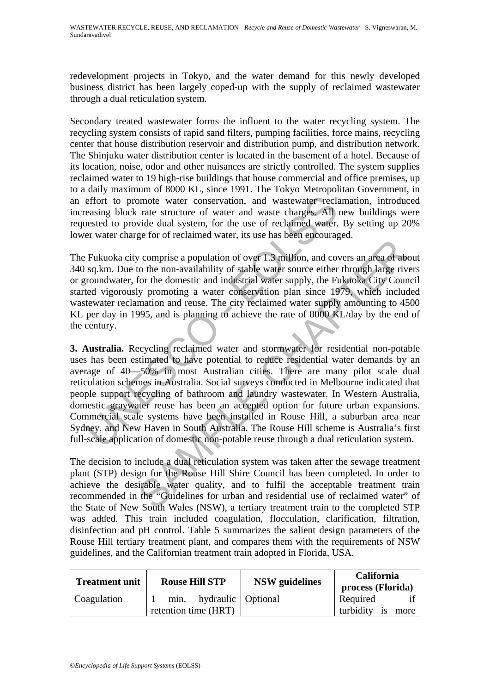redevelopment projects in Tokyo, and the water demand for this newly developed business district has been largely coped-up with the supply of reclaimed wastewater through a dual reticulation system.

Secondary treated wastewater forms the influent to the water recycling system. The recycling system consists of rapid sand filters, pumping facilities, force mains, recycling center that house distribution reservoir and distribution pump, and distribution network. The Shinjuku water distribution center is located in the basement of a hotel. Because of its location, noise, odor and other nuisances are strictly controlled. The system supplies reclaimed water to 19 high-rise buildings that house commercial and office premises, up to a daily maximum of 8000 KL, since 1991. The Tokyo Metropolitan Government, in an effort to promote water conservation, and wastewater reclamation, introduced increasing block rate structure of water and waste charges. All new buildings were requested to provide dual system, for the use of reclaimed water. By setting up 20% lower water charge for of reclaimed water, its use has been encouraged.

The Fukuoka city comprise a population of over 1.3 million, and covers an area of about 340 sq.km. Due to the non-availability of stable water source either through large rivers or groundwater, for the domestic and industrial water supply, the Fukuoka City Council started vigorously promoting a water conservation plan since 1979, which included wastewater reclamation and reuse. The city reclaimed water supply amounting to 4500 KL per day in 1995, and is planning to achieve the rate of 8000 KL/day by the end of the century.

effort to promote water conservation, and wastewater reclameasing block rate structure of water and waste charges. All neested to provide dual system, for the use of reclaimed water. Ber water charge for of reclaimed water of v comprise a population of over 1.3 million, and covers an area of about the marginal comparison of the non-availability of stable water supply, the Fukuoka City County (by the domestic and industrial water supply, the **3. Australia.** Recycling reclaimed water and stormwater for residential non-potable uses has been estimated to have potential to reduce residential water demands by an average of 40—50% in most Australian cities. There are many pilot scale dual reticulation schemes in Australia. Social surveys conducted in Melbourne indicated that people support recycling of bathroom and laundry wastewater. In Western Australia, domestic graywater reuse has been an accepted option for future urban expansions. Commercial scale systems have been installed in Rouse Hill, a suburban area near Sydney, and New Haven in South Australia. The Rouse Hill scheme is Australia's first full-scale application of domestic non-potable reuse through a dual reticulation system.

The decision to include a dual reticulation system was taken after the sewage treatment plant (STP) design for the Rouse Hill Shire Council has been completed. In order to achieve the desirable water quality, and to fulfil the acceptable treatment train recommended in the "Guidelines for urban and residential use of reclaimed water" of the State of New South Wales (NSW), a tertiary treatment train to the completed STP was added. This train included coagulation, flocculation, clarification, filtration, disinfection and pH control. Table 5 summarizes the salient design parameters of the Rouse Hill tertiary treatment plant, and compares them with the requirements of NSW guidelines, and the Californian treatment train adopted in Florida, USA.

| <b>Treatment unit</b> | <b>Rouse Hill STP</b>                                | <b>NSW</b> guidelines | <b>California</b><br>process (Florida) |
|-----------------------|------------------------------------------------------|-----------------------|----------------------------------------|
| Coagulation           | hydraulic   Optional<br>min.<br>retention time (HRT) |                       | Required<br>turbidity<br>is<br>more    |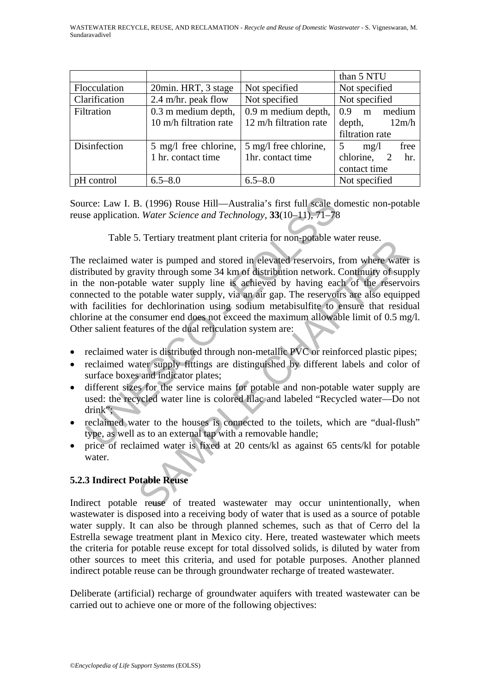|               |                        |                        | than 5 NTU            |
|---------------|------------------------|------------------------|-----------------------|
| Flocculation  | 20min. HRT, 3 stage    | Not specified          | Not specified         |
| Clarification | 2.4 m/hr. peak flow    | Not specified          | Not specified         |
| Filtration    | 0.3 m medium depth,    | 0.9 m medium depth,    | medium<br>0.9<br>m    |
|               | 10 m/h filtration rate | 12 m/h filtration rate | depth,<br>12m/h       |
|               |                        |                        | filtration rate       |
| Disinfection  | 5 mg/l free chlorine,  | 5 mg/l free chlorine,  | free<br>5<br>mg/l     |
|               | 1 hr. contact time     | 1hr. contact time      | chlorine,<br>hr.<br>2 |
|               |                        |                        | contact time          |
| pH control    | $6.5 - 8.0$            | $6.5 - 8.0$            | Not specified         |

Source: Law I. B. (1996) Rouse Hill—Australia's first full scale domestic non-potable reuse application. *Water Science and Technology*, **33**(10–11), 71–78

Table 5. Tertiary treatment plant criteria for non-potable water reuse.

rce: Law I. B. (1996) Rouse Hill—Australia's first full scale done application. *Water Science and Technology*, 33(10-11), 71–78<br>Table 5. Tertiary treatment plant criteria for non-potable wat<br>reclaimed water is pumped and Solution that the same of individual terms of individual terms in the same of the same of the same of the same of the same of determinity of supple water supply line is achieved by having each of the reservor potable wate The reclaimed water is pumped and stored in elevated reservoirs, from where water is distributed by gravity through some 34 km of distribution network. Continuity of supply in the non-potable water supply line is achieved by having each of the reservoirs connected to the potable water supply, via an air gap. The reservoirs are also equipped with facilities for dechlorination using sodium metabisulfite to ensure that residual chlorine at the consumer end does not exceed the maximum allowable limit of 0.5 mg/l. Other salient features of the dual reticulation system are:

- reclaimed water is distributed through non-metallic PVC or reinforced plastic pipes;
- reclaimed water supply fittings are distinguished by different labels and color of surface boxes and indicator plates;
- different sizes for the service mains for potable and non-potable water supply are used: the recycled water line is colored lilac and labeled "Recycled water—Do not drink";
- reclaimed water to the houses is connected to the toilets, which are "dual-flush" type, as well as to an external tap with a removable handle;
- price of reclaimed water is fixed at 20 cents/kl as against 65 cents/kl for potable water.

# **5.2.3 Indirect Potable Reuse**

Indirect potable reuse of treated wastewater may occur unintentionally, when wastewater is disposed into a receiving body of water that is used as a source of potable water supply. It can also be through planned schemes, such as that of Cerro del la Estrella sewage treatment plant in Mexico city. Here, treated wastewater which meets the criteria for potable reuse except for total dissolved solids, is diluted by water from other sources to meet this criteria, and used for potable purposes. Another planned indirect potable reuse can be through groundwater recharge of treated wastewater.

Deliberate (artificial) recharge of groundwater aquifers with treated wastewater can be carried out to achieve one or more of the following objectives: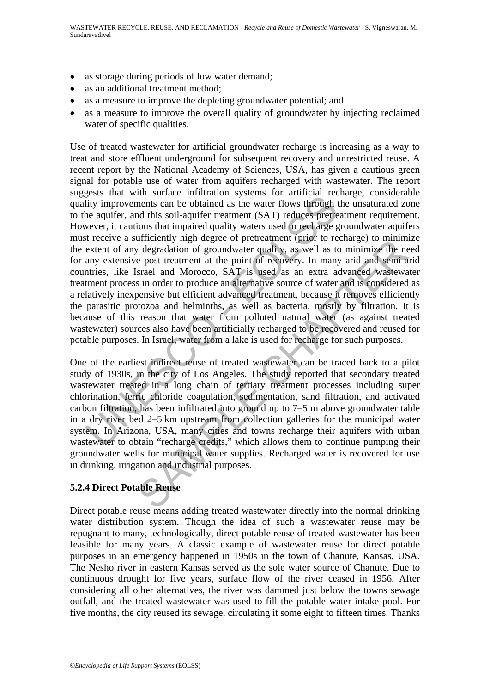- as storage during periods of low water demand;
- as an additional treatment method;
- as a measure to improve the depleting groundwater potential; and
- as a measure to improve the overall quality of groundwater by injecting reclaimed water of specific qualities.

Essay and with since infinition systems for diarctic interest<br>if it improvements can be obtained as the water flows through the<br>he aquifer, and this soil-aquifer treatment (SAT) reduces pretreat<br>wever, it cautions that imp Use of treated wastewater for artificial groundwater recharge is increasing as a way to treat and store effluent underground for subsequent recovery and unrestricted reuse. A recent report by the National Academy of Sciences, USA, has given a cautious green signal for potable use of water from aquifers recharged with wastewater. The report suggests that with surface infiltration systems for artificial recharge, considerable quality improvements can be obtained as the water flows through the unsaturated zone to the aquifer, and this soil-aquifer treatment (SAT) reduces pretreatment requirement. However, it cautions that impaired quality waters used to recharge groundwater aquifers must receive a sufficiently high degree of pretreatment (prior to recharge) to minimize the extent of any degradation of groundwater quality, as well as to minimize the need for any extensive post-treatment at the point of recovery. In many arid and semi-arid countries, like Israel and Morocco, SAT is used as an extra advanced wastewater treatment process in order to produce an alternative source of water and is considered as a relatively inexpensive but efficient advanced treatment, because it removes efficiently the parasitic protozoa and helminths, as well as bacteria, mostly by filtration. It is because of this reason that water from polluted natural water (as against treated wastewater) sources also have been artificially recharged to be recovered and reused for potable purposes. In Israel, water from a lake is used for recharge for such purposes.

infusioning in digital of proteinance that the protein contained the accuracy of degradation of groundwater quality, as well as to minimize the ne post-treatment at the point of recovery. In many arid and semi-asrael and M One of the earliest indirect reuse of treated wastewater can be traced back to a pilot study of 1930s, in the city of Los Angeles. The study reported that secondary treated wastewater treated in a long chain of tertiary treatment processes including super chlorination, ferric chloride coagulation, sedimentation, sand filtration, and activated carbon filtration, has been infiltrated into ground up to 7–5 m above groundwater table in a dry river bed 2–5 km upstream from collection galleries for the municipal water system. In Arizona, USA, many cities and towns recharge their aquifers with urban wastewater to obtain "recharge credits," which allows them to continue pumping their groundwater wells for municipal water supplies. Recharged water is recovered for use in drinking, irrigation and industrial purposes.

# **5.2.4 Direct Potable Reuse**

Direct potable reuse means adding treated wastewater directly into the normal drinking water distribution system. Though the idea of such a wastewater reuse may be repugnant to many, technologically, direct potable reuse of treated wastewater has been feasible for many years. A classic example of wastewater reuse for direct potable purposes in an emergency happened in 1950s in the town of Chanute, Kansas, USA. The Nesho river in eastern Kansas served as the sole water source of Chanute. Due to continuous drought for five years, surface flow of the river ceased in 1956. After considering all other alternatives, the river was dammed just below the towns sewage outfall, and the treated wastewater was used to fill the potable water intake pool. For five months, the city reused its sewage, circulating it some eight to fifteen times. Thanks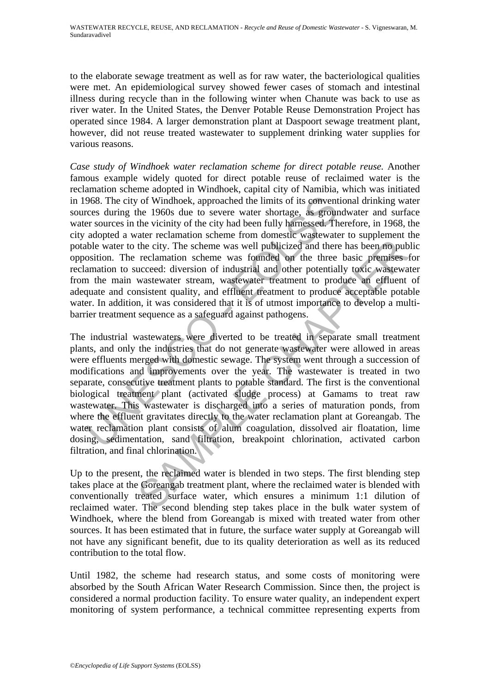to the elaborate sewage treatment as well as for raw water, the bacteriological qualities were met. An epidemiological survey showed fewer cases of stomach and intestinal illness during recycle than in the following winter when Chanute was back to use as river water. In the United States, the Denver Potable Reuse Demonstration Project has operated since 1984. A larger demonstration plant at Daspoort sewage treatment plant, however, did not reuse treated wastewater to supplement drinking water supplies for various reasons.

968. The city of Windhoek, approached the limits of its conventiones during the 1960s due to severe water shortage, as ground er sources in the vicinity of the city had been fully harmessed. Ther adopted a water reclamatio *Case study of Windhoek water reclamation scheme for direct potable reuse.* Another famous example widely quoted for direct potable reuse of reclaimed water is the reclamation scheme adopted in Windhoek, capital city of Namibia, which was initiated in 1968. The city of Windhoek, approached the limits of its conventional drinking water sources during the 1960s due to severe water shortage, as groundwater and surface water sources in the vicinity of the city had been fully harnessed. Therefore, in 1968, the city adopted a water reclamation scheme from domestic wastewater to supplement the potable water to the city. The scheme was well publicized and there has been no public opposition. The reclamation scheme was founded on the three basic premises for reclamation to succeed: diversion of industrial and other potentially toxic wastewater from the main wastewater stream, wastewater treatment to produce an effluent of adequate and consistent quality, and effluent treatment to produce acceptable potable water. In addition, it was considered that it is of utmost importance to develop a multibarrier treatment sequence as a safeguard against pathogens.

the city. The scheme was well publicized and there has been no pub<br>reclamation scheme was well publicized and there has been no pub<br>reclamation scheme was founded on the three basic premises<br>wasteward stream, wasteward ret The industrial wastewaters were diverted to be treated in separate small treatment plants, and only the industries that do not generate wastewater were allowed in areas were effluents merged with domestic sewage. The system went through a succession of modifications and improvements over the year. The wastewater is treated in two separate, consecutive treatment plants to potable standard. The first is the conventional biological treatment plant (activated sludge process) at Gamams to treat raw wastewater. This wastewater is discharged into a series of maturation ponds, from where the effluent gravitates directly to the water reclamation plant at Goreangab. The water reclamation plant consists of alum coagulation, dissolved air floatation, lime dosing, sedimentation, sand filtration, breakpoint chlorination, activated carbon filtration, and final chlorination.

Up to the present, the reclaimed water is blended in two steps. The first blending step takes place at the Goreangab treatment plant, where the reclaimed water is blended with conventionally treated surface water, which ensures a minimum 1:1 dilution of reclaimed water. The second blending step takes place in the bulk water system of Windhoek, where the blend from Goreangab is mixed with treated water from other sources. It has been estimated that in future, the surface water supply at Goreangab will not have any significant benefit, due to its quality deterioration as well as its reduced contribution to the total flow.

Until 1982, the scheme had research status, and some costs of monitoring were absorbed by the South African Water Research Commission. Since then, the project is considered a normal production facility. To ensure water quality, an independent expert monitoring of system performance, a technical committee representing experts from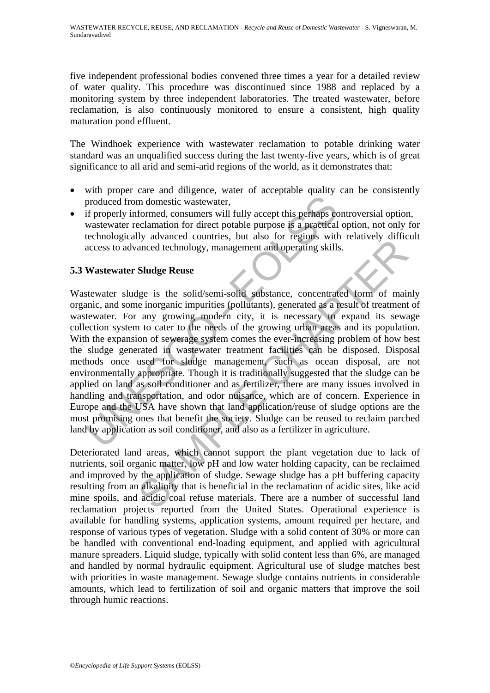five independent professional bodies convened three times a year for a detailed review of water quality. This procedure was discontinued since 1988 and replaced by a monitoring system by three independent laboratories. The treated wastewater, before reclamation, is also continuously monitored to ensure a consistent, high quality maturation pond effluent.

The Windhoek experience with wastewater reclamation to potable drinking water standard was an unqualified success during the last twenty-five years, which is of great significance to all arid and semi-arid regions of the world, as it demonstrates that:

- with proper care and diligence, water of acceptable quality can be consistently produced from domestic wastewater,
- if properly informed, consumers will fully accept this perhaps controversial option, wastewater reclamation for direct potable purpose is a practical option, not only for technologically advanced countries, but also for regions with relatively difficult access to advanced technology, management and operating skills.

# **5.3 Wastewater Sludge Reuse**

produced from domestic wastewater,<br>if properly informed, consumers will fully accept this perhaps cont<br>wastewater reclamation for direct potable purpose is a practical of<br>technologically advanced countries, but also for re In an antical conditions, out also the reader of regional wind constrained technology, management and operating skills.<br> **Sludge Reuse**<br>
Ige is the solid/semi-solid substance, concentrated form of main<br>
ie inorganic impuri Wastewater sludge is the solid/semi-solid substance, concentrated form of mainly organic, and some inorganic impurities (pollutants), generated as a result of treatment of wastewater. For any growing modern city, it is necessary to expand its sewage collection system to cater to the needs of the growing urban areas and its population. With the expansion of sewerage system comes the ever-increasing problem of how best the sludge generated in wastewater treatment facilities can be disposed. Disposal methods once used for sludge management, such as ocean disposal, are not environmentally appropriate. Though it is traditionally suggested that the sludge can be applied on land as soil conditioner and as fertilizer, there are many issues involved in handling and transportation, and odor nuisance, which are of concern. Experience in Europe and the USA have shown that land application/reuse of sludge options are the most promising ones that benefit the society. Sludge can be reused to reclaim parched land by application as soil conditioner, and also as a fertilizer in agriculture.

Deteriorated land areas, which cannot support the plant vegetation due to lack of nutrients, soil organic matter, low pH and low water holding capacity, can be reclaimed and improved by the application of sludge. Sewage sludge has a pH buffering capacity resulting from an alkalinity that is beneficial in the reclamation of acidic sites, like acid mine spoils, and acidic coal refuse materials. There are a number of successful land reclamation projects reported from the United States. Operational experience is available for handling systems, application systems, amount required per hectare, and response of various types of vegetation. Sludge with a solid content of 30% or more can be handled with conventional end-loading equipment, and applied with agricultural manure spreaders. Liquid sludge, typically with solid content less than 6%, are managed and handled by normal hydraulic equipment. Agricultural use of sludge matches best with priorities in waste management. Sewage sludge contains nutrients in considerable amounts, which lead to fertilization of soil and organic matters that improve the soil through humic reactions.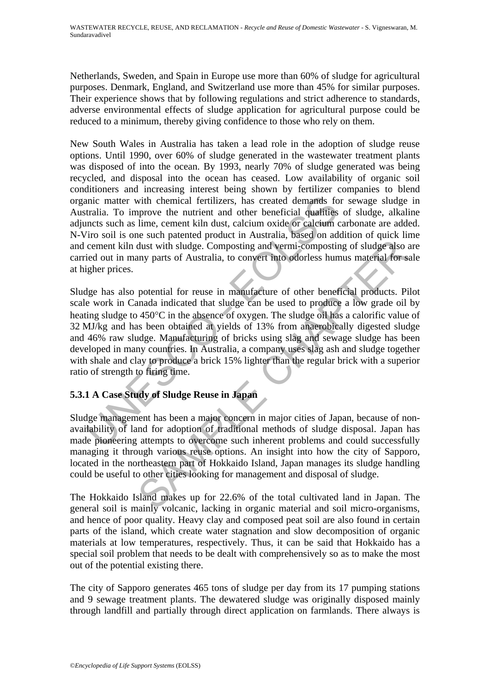Netherlands, Sweden, and Spain in Europe use more than 60% of sludge for agricultural purposes. Denmark, England, and Switzerland use more than 45% for similar purposes. Their experience shows that by following regulations and strict adherence to standards, adverse environmental effects of sludge application for agricultural purpose could be reduced to a minimum, thereby giving confidence to those who rely on them.

New South Wales in Australia has taken a lead role in the adoption of sludge reuse options. Until 1990, over 60% of sludge generated in the wastewater treatment plants was disposed of into the ocean. By 1993, nearly 70% of sludge generated was being recycled, and disposal into the ocean has ceased. Low availability of organic soil conditioners and increasing interest being shown by fertilizer companies to blend organic matter with chemical fertilizers, has created demands for sewage sludge in Australia. To improve the nutrient and other beneficial qualities of sludge, alkaline adjuncts such as lime, cement kiln dust, calcium oxide or calcium carbonate are added. N-Viro soil is one such patented product in Australia, based on addition of quick lime and cement kiln dust with sludge. Composting and vermi-composting of sludge also are carried out in many parts of Australia, to convert into odorless humus material for sale at higher prices.

anic matter with chemical fertilizers, has created demands for tralia. To improve the nutrient and other beneficial qualities o incts such as lime, cennent kiln dust, calcium oxide or calcium can cennent kiln dust with slu dust with sludge. Composting and vermi-composting of sludge also any parts of Australia, to convert into odorless humus material for some parts of Australia, to convert into odorless humus material for some parts of Austra Sludge has also potential for reuse in manufacture of other beneficial products. Pilot scale work in Canada indicated that sludge can be used to produce a low grade oil by heating sludge to 450°C in the absence of oxygen. The sludge oil has a calorific value of 32 MJ/kg and has been obtained at yields of 13% from anaerobically digested sludge and 46% raw sludge. Manufacturing of bricks using slag and sewage sludge has been developed in many countries. In Australia, a company uses slag ash and sludge together with shale and clay to produce a brick 15% lighter than the regular brick with a superior ratio of strength to firing time.

# **5.3.1 A Case Study of Sludge Reuse in Japan**

Sludge management has been a major concern in major cities of Japan, because of nonavailability of land for adoption of traditional methods of sludge disposal. Japan has made pioneering attempts to overcome such inherent problems and could successfully managing it through various reuse options. An insight into how the city of Sapporo, located in the northeastern part of Hokkaido Island, Japan manages its sludge handling could be useful to other cities looking for management and disposal of sludge.

The Hokkaido Island makes up for 22.6% of the total cultivated land in Japan. The general soil is mainly volcanic, lacking in organic material and soil micro-organisms, and hence of poor quality. Heavy clay and composed peat soil are also found in certain parts of the island, which create water stagnation and slow decomposition of organic materials at low temperatures, respectively. Thus, it can be said that Hokkaido has a special soil problem that needs to be dealt with comprehensively so as to make the most out of the potential existing there.

The city of Sapporo generates 465 tons of sludge per day from its 17 pumping stations and 9 sewage treatment plants. The dewatered sludge was originally disposed mainly through landfill and partially through direct application on farmlands. There always is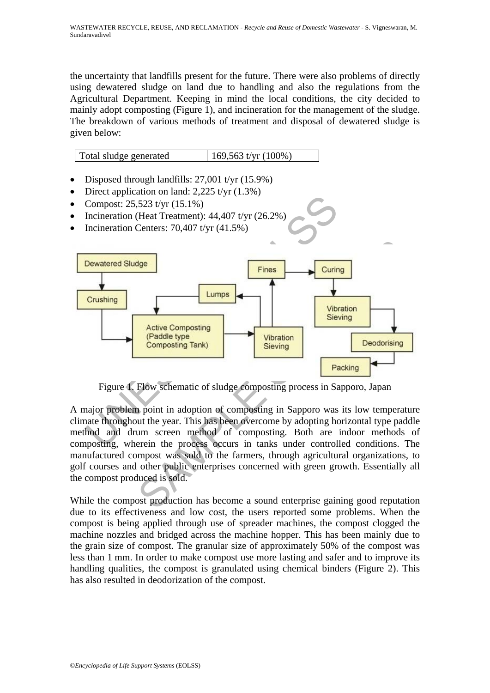the uncertainty that landfills present for the future. There were also problems of directly using dewatered sludge on land due to handling and also the regulations from the Agricultural Department. Keeping in mind the local conditions, the city decided to mainly adopt composting (Figure 1), and incineration for the management of the sludge. The breakdown of various methods of treatment and disposal of dewatered sludge is given below:

Total sludge generated 169,563 t/yr (100%)

- Disposed through landfills: 27,001 t/yr (15.9%)
- Direct application on land:  $2,225$  t/yr  $(1.3\%)$
- Compost: 25,523 t/yr (15.1%)
- Incineration (Heat Treatment): 44,407 t/yr (26.2%)
- Incineration Centers: 70,407 t/yr (41.5%)



Figure 1. Flow schematic of sludge composting process in Sapporo, Japan

A major problem point in adoption of composting in Sapporo was its low temperature climate throughout the year. This has been overcome by adopting horizontal type paddle method and drum screen method of composting. Both are indoor methods of composting, wherein the process occurs in tanks under controlled conditions. The manufactured compost was sold to the farmers, through agricultural organizations, to golf courses and other public enterprises concerned with green growth. Essentially all the compost produced is sold.

While the compost production has become a sound enterprise gaining good reputation due to its effectiveness and low cost, the users reported some problems. When the compost is being applied through use of spreader machines, the compost clogged the machine nozzles and bridged across the machine hopper. This has been mainly due to the grain size of compost. The granular size of approximately 50% of the compost was less than 1 mm. In order to make compost use more lasting and safer and to improve its handling qualities, the compost is granulated using chemical binders (Figure 2). This has also resulted in deodorization of the compost.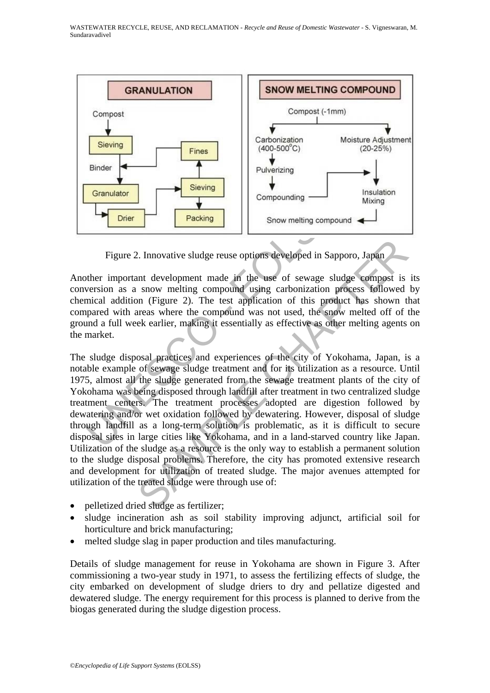

Figure 2. Innovative sludge reuse options developed in Sapporo, Japan

Another important development made in the use of sewage sludge compost is its conversion as a snow melting compound using carbonization process followed by chemical addition (Figure 2). The test application of this product has shown that compared with areas where the compound was not used, the snow melted off of the ground a full week earlier, making it essentially as effective as other melting agents on the market.

Confounded and the more of the compounding and the process in the set of the compound single environment made in the use of sewage sludge version as a snow melting compound using carbonization promincial addition (Figure 2 2. Innovative sludge reuse options developed in Sapporo, Japan and development made in the use of sewage sludge compost is snow melting compound using carbonization process followed on (Figure 2). The test application of The sludge disposal practices and experiences of the city of Yokohama, Japan, is a notable example of sewage sludge treatment and for its utilization as a resource. Until 1975, almost all the sludge generated from the sewage treatment plants of the city of Yokohama was being disposed through landfill after treatment in two centralized sludge treatment centers. The treatment processes adopted are digestion followed by dewatering and/or wet oxidation followed by dewatering. However, disposal of sludge through landfill as a long-term solution is problematic, as it is difficult to secure disposal sites in large cities like Yokohama, and in a land-starved country like Japan. Utilization of the sludge as a resource is the only way to establish a permanent solution to the sludge disposal problems. Therefore, the city has promoted extensive research and development for utilization of treated sludge. The major avenues attempted for utilization of the treated sludge were through use of:

- pelletized dried sludge as fertilizer;
- sludge incineration ash as soil stability improving adjunct, artificial soil for horticulture and brick manufacturing;
- melted sludge slag in paper production and tiles manufacturing.

Details of sludge management for reuse in Yokohama are shown in Figure 3. After commissioning a two-year study in 1971, to assess the fertilizing effects of sludge, the city embarked on development of sludge driers to dry and pellatize digested and dewatered sludge. The energy requirement for this process is planned to derive from the biogas generated during the sludge digestion process.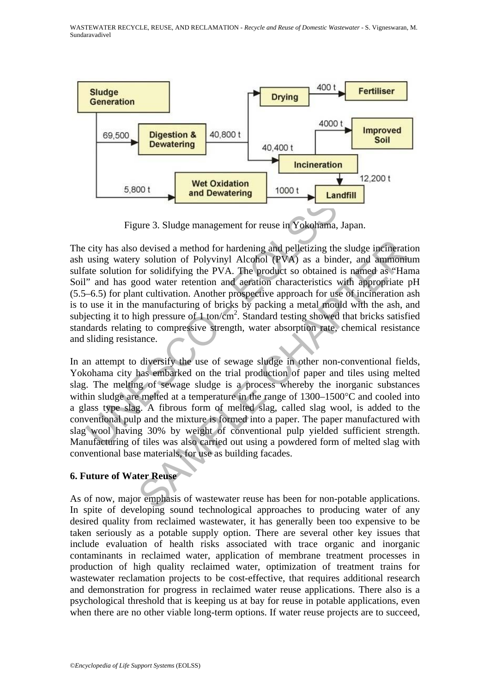

Figure 3. Sludge management for reuse in Yokohama, Japan.

Figure 3. Sludge management for reuse in Yokehama, Jaccity has also devised a method for hardening and pelletizing the susing watery solution of Polyvinyl Alcohol (PVA) as a binder at solution for solidifying the PVA. The devised a method for hardening and pelletizing the sludge incinerative solution of Polyvinyl Alcohol (PVA) as a binder, and ammonitor solidifying the PVA. The product so obtained is named as "Hardood water retention and ae The city has also devised a method for hardening and pelletizing the sludge incineration ash using watery solution of Polyvinyl Alcohol (PVA) as a binder, and ammonium sulfate solution for solidifying the PVA. The product so obtained is named as "Hama Soil" and has good water retention and aeration characteristics with appropriate pH (5.5–6.5) for plant cultivation. Another prospective approach for use of incineration ash is to use it in the manufacturing of bricks by packing a metal mould with the ash, and subjecting it to high pressure of  $1$  ton/cm<sup>2</sup>. Standard testing showed that bricks satisfied standards relating to compressive strength, water absorption rate, chemical resistance and sliding resistance.

In an attempt to diversify the use of sewage sludge in other non-conventional fields, Yokohama city has embarked on the trial production of paper and tiles using melted slag. The melting of sewage sludge is a process whereby the inorganic substances within sludge are melted at a temperature in the range of 1300–1500°C and cooled into a glass type slag. A fibrous form of melted slag, called slag wool, is added to the conventional pulp and the mixture is formed into a paper. The paper manufactured with slag wool having 30% by weight of conventional pulp yielded sufficient strength. Manufacturing of tiles was also carried out using a powdered form of melted slag with conventional base materials, for use as building facades.

# **6. Future of Water Reuse**

As of now, major emphasis of wastewater reuse has been for non-potable applications. In spite of developing sound technological approaches to producing water of any desired quality from reclaimed wastewater, it has generally been too expensive to be taken seriously as a potable supply option. There are several other key issues that include evaluation of health risks associated with trace organic and inorganic contaminants in reclaimed water, application of membrane treatment processes in production of high quality reclaimed water, optimization of treatment trains for wastewater reclamation projects to be cost-effective, that requires additional research and demonstration for progress in reclaimed water reuse applications. There also is a psychological threshold that is keeping us at bay for reuse in potable applications, even when there are no other viable long-term options. If water reuse projects are to succeed,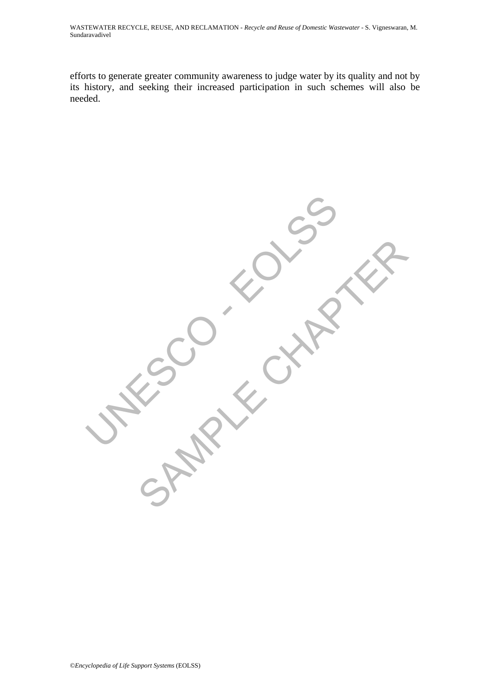efforts to generate greater community awareness to judge water by its quality and not by its history, and seeking their increased participation in such schemes will also be needed.

**UNESCO - EDER** SAMPLE CHAPTER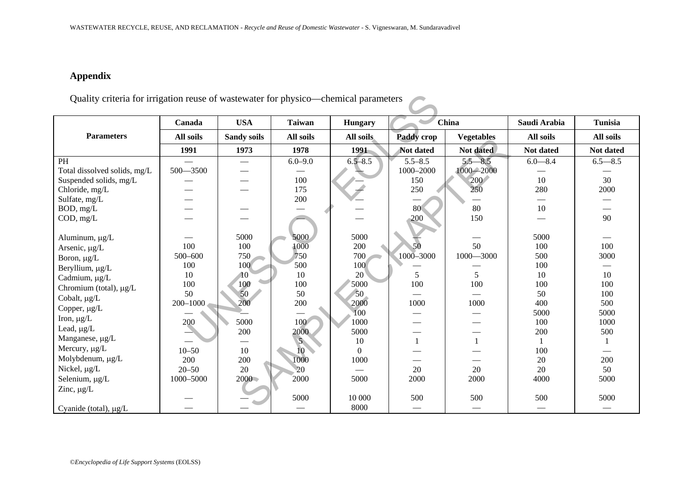| WASTEWATER RECYCLE, REUSE, AND RECLAMATION - Recycle and Reuse of Domestic Wastewater - S. Vigneswaran, M. Sundaravadivel |              |                    |                 |                |             |                   |              |                               |
|---------------------------------------------------------------------------------------------------------------------------|--------------|--------------------|-----------------|----------------|-------------|-------------------|--------------|-------------------------------|
|                                                                                                                           |              |                    |                 |                |             |                   |              |                               |
|                                                                                                                           |              |                    |                 |                |             |                   |              |                               |
|                                                                                                                           |              |                    |                 |                |             |                   |              |                               |
| <b>Appendix</b>                                                                                                           |              |                    |                 |                |             |                   |              |                               |
|                                                                                                                           |              |                    |                 |                |             |                   |              |                               |
| Quality criteria for irrigation reuse of wastewater for physico—chemical parameters                                       |              |                    |                 |                |             |                   |              |                               |
|                                                                                                                           |              |                    |                 |                |             |                   |              |                               |
|                                                                                                                           | Canada       | <b>USA</b>         | <b>Taiwan</b>   | <b>Hungary</b> |             | China             | Saudi Arabia | <b>Tunisia</b>                |
| <b>Parameters</b>                                                                                                         | All soils    |                    | All soils       |                | Paddy crop  |                   | All soils    | All soils                     |
|                                                                                                                           |              | <b>Sandy soils</b> |                 | All soils      |             | <b>Vegetables</b> |              |                               |
|                                                                                                                           | 1991         | 1973               | 1978            | 1991           | Not dated   | Not dated         | Not dated    | Not dated                     |
| PH                                                                                                                        |              |                    | $6.0 - 9.0$     | $6.5 - 8.5$    | $5.5 - 8.5$ | $5.5 - 8.5$       | $6.0 - 8.4$  | $6.5 - 8.5$                   |
| Total dissolved solids, mg/L                                                                                              | $500 - 3500$ |                    |                 |                | 1000-2000   | $1000 - 2000$     |              |                               |
| Suspended solids, mg/L                                                                                                    |              |                    | 100             |                | 150         | 200               | 10           | 30                            |
| Chloride, mg/L                                                                                                            |              |                    | 175             |                | 250         | 250               | 280          | 2000                          |
| Sulfate, mg/L                                                                                                             |              |                    | 200             |                |             |                   |              | $\overbrace{\phantom{13333}}$ |
| BOD, mg/L                                                                                                                 |              |                    |                 |                | 80          | 80                | 10           |                               |
| COD, mg/L                                                                                                                 |              |                    |                 |                | 200         | 150               |              | 90                            |
| Aluminum, µg/L                                                                                                            |              | 5000               | 5000            | 5000           |             |                   | 5000         | $\qquad \qquad$               |
| Arsenic, µg/L                                                                                                             | 100          | 100                | 1000            | 200            | 50          | 50                | 100          | 100                           |
| Boron, µg/L                                                                                                               | 500-600      | 750                | 750             | 700            | 1000-3000   | $1000 - 3000$     | 500          | 3000                          |
| Beryllium, µg/L                                                                                                           | 100          | 100                | 500             | 100            |             |                   | 100          |                               |
| Cadmium, µg/L                                                                                                             | 10           | 10                 | 10              | $20^{\circ}$   | 5           | 5                 | 10           | 10                            |
| Chromium (total), µg/L                                                                                                    | 100          | 100                | 100             | 5000           | 100         | 100               | 100          | 100                           |
| Cobalt, µg/L                                                                                                              | 50           | 50                 | 50              | 50             |             |                   | 50           | 100                           |
| Copper, µg/L                                                                                                              | $200 - 1000$ | 200                | 200             | 2000           | 1000        | 1000              | 400          | 500                           |
| Iron, $\mu g/L$                                                                                                           |              |                    |                 | 100            |             |                   | 5000         | 5000                          |
|                                                                                                                           | 200          | 5000               | 100             | 1000           |             |                   | 100          | 1000                          |
| Lead, µg/L                                                                                                                |              | 200                | 2000            | 5000           |             |                   | 200          | 500                           |
| Manganese, µg/L                                                                                                           |              |                    | 5 <sub>1</sub>  | 10             | 1           | $\mathbf{1}$      | 1            | 1                             |
| Mercury, µg/L                                                                                                             | $10 - 50$    | 10                 | 10 <sup>7</sup> | $\overline{0}$ |             |                   | 100          |                               |
| Molybdenum, µg/L                                                                                                          | 200          | 200                | 1000            | 1000           |             |                   | 20           | 200                           |
| Nickel, µg/L                                                                                                              | $20 - 50$    | 20                 | 20              |                | 20          | 20                | 20           | 50                            |
| Selenium, µg/L                                                                                                            | 1000-5000    | $2000 -$           | 2000            | 5000           | 2000        | 2000              | 4000         | 5000                          |
| Zinc, $\mu g/L$                                                                                                           |              |                    | 5000            | 10 000         | 500         | 500               | 500          | 5000                          |
|                                                                                                                           |              |                    |                 | 8000           |             |                   |              |                               |
| Cyanide (total), µg/L                                                                                                     |              |                    |                 |                |             |                   |              |                               |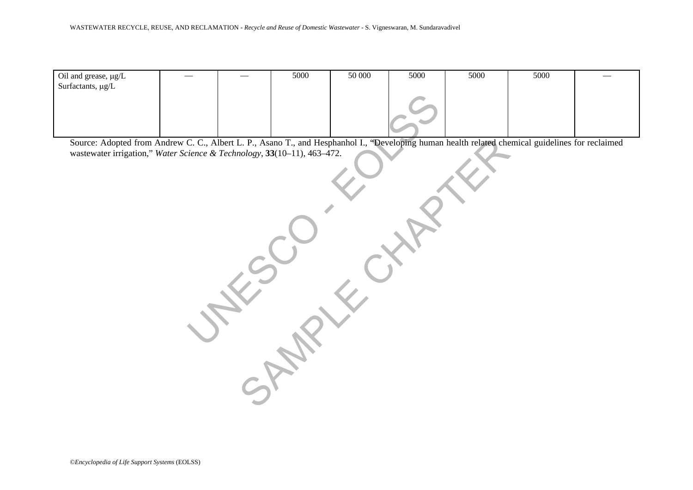| 5000<br>50 000<br>5000<br>5000<br>5000<br>Oil and grease, µg/L<br>Surfactants, $\mu g/L$<br>Source: Adopted from Andrew C. C., Albert L. P., Asano T., and Hesphanhol I., "Developing human health related chemical guidelines for reclaimed<br>wastewater irrigation," Water Science & Technology, 33(10-11), 463-472. | WASTEWATER RECYCLE, REUSE, AND RECLAMATION - Recycle and Reuse of Domestic Wastewater - S. Vigneswaran, M. Sundaravadivel |  |  |  |  |
|-------------------------------------------------------------------------------------------------------------------------------------------------------------------------------------------------------------------------------------------------------------------------------------------------------------------------|---------------------------------------------------------------------------------------------------------------------------|--|--|--|--|
|                                                                                                                                                                                                                                                                                                                         |                                                                                                                           |  |  |  |  |
|                                                                                                                                                                                                                                                                                                                         |                                                                                                                           |  |  |  |  |
|                                                                                                                                                                                                                                                                                                                         |                                                                                                                           |  |  |  |  |
|                                                                                                                                                                                                                                                                                                                         |                                                                                                                           |  |  |  |  |
|                                                                                                                                                                                                                                                                                                                         |                                                                                                                           |  |  |  |  |
|                                                                                                                                                                                                                                                                                                                         |                                                                                                                           |  |  |  |  |
|                                                                                                                                                                                                                                                                                                                         |                                                                                                                           |  |  |  |  |
|                                                                                                                                                                                                                                                                                                                         |                                                                                                                           |  |  |  |  |
|                                                                                                                                                                                                                                                                                                                         |                                                                                                                           |  |  |  |  |
|                                                                                                                                                                                                                                                                                                                         |                                                                                                                           |  |  |  |  |
|                                                                                                                                                                                                                                                                                                                         |                                                                                                                           |  |  |  |  |
|                                                                                                                                                                                                                                                                                                                         |                                                                                                                           |  |  |  |  |
|                                                                                                                                                                                                                                                                                                                         |                                                                                                                           |  |  |  |  |
|                                                                                                                                                                                                                                                                                                                         |                                                                                                                           |  |  |  |  |
|                                                                                                                                                                                                                                                                                                                         |                                                                                                                           |  |  |  |  |
|                                                                                                                                                                                                                                                                                                                         |                                                                                                                           |  |  |  |  |
|                                                                                                                                                                                                                                                                                                                         |                                                                                                                           |  |  |  |  |
|                                                                                                                                                                                                                                                                                                                         |                                                                                                                           |  |  |  |  |
|                                                                                                                                                                                                                                                                                                                         |                                                                                                                           |  |  |  |  |
|                                                                                                                                                                                                                                                                                                                         |                                                                                                                           |  |  |  |  |
|                                                                                                                                                                                                                                                                                                                         |                                                                                                                           |  |  |  |  |
|                                                                                                                                                                                                                                                                                                                         |                                                                                                                           |  |  |  |  |
|                                                                                                                                                                                                                                                                                                                         |                                                                                                                           |  |  |  |  |
|                                                                                                                                                                                                                                                                                                                         |                                                                                                                           |  |  |  |  |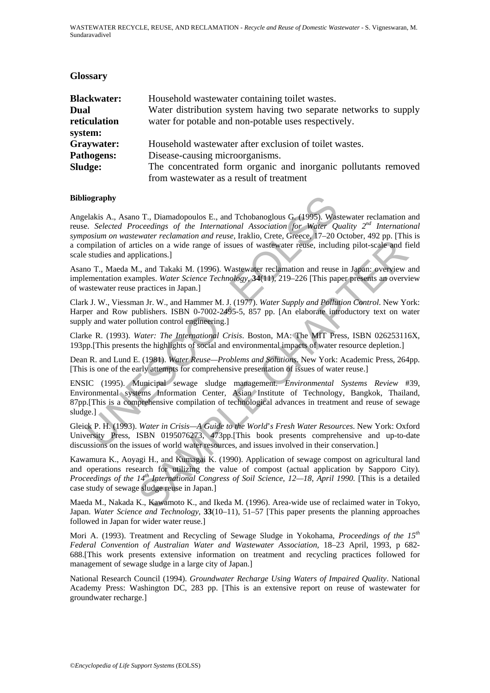#### **Glossary**

| <b>Blackwater:</b><br>Dual<br>reticulation<br>system: | Household was tewater containing toilet was tes.<br>Water distribution system having two separate networks to supply<br>water for potable and non-potable uses respectively. |
|-------------------------------------------------------|------------------------------------------------------------------------------------------------------------------------------------------------------------------------------|
| Graywater:                                            | Household was tewater after exclusion of toilet was tes.                                                                                                                     |
| <b>Pathogens:</b>                                     | Disease-causing microorganisms.                                                                                                                                              |
| Sludge:                                               | The concentrated form organic and inorganic pollutants removed                                                                                                               |
|                                                       | from wastewater as a result of treatment                                                                                                                                     |

#### **Bibliography**

**Equipary**<br> **Equipary**<br> **Equipary**<br> **Equipary**<br> **Example 2.** Selected Proceedings of the International Association for Water Qualo<br> **Example 2.** Selected Proceedings of the International Association for Water Qualo<br> **Equip** Angelakis A., Asano T., Diamadopoulos E., and Tchobanoglous G. (1995). Wastewater reclamation and reuse. *Selected Proceedings of the International Association for Water Quality 2nd International symposium on wastewater reclamation and reuse,* Iraklio, Crete, Greece, 17–20 October, 492 pp. [This is a compilation of articles on a wide range of issues of wastewater reuse, including pilot-scale and field scale studies and applications.]

Asano T., Maeda M., and Takaki M. (1996). Wastewater reclamation and reuse in Japan: overview and implementation examples. *Water Science Technology,* **34**(11), 219–226 [This paper presents an overview of wastewater reuse practices in Japan.]

Clark J. W., Viessman Jr. W., and Hammer M. J. (1977). *Water Supply and Pollution Control*. New York: Harper and Row publishers. ISBN 0-7002-2495-5, 857 pp. [An elaborate introductory text on water supply and water pollution control engineering.]

Clarke R. (1993). *Water: The International Crisis*. Boston, MA: The MIT Press, ISBN 026253116X, 193pp.[This presents the highlights of social and environmental impacts of water resource depletion.]

Dean R. and Lund E. (1981). *Water Reuse—Problems and Solutions*. New York: Academic Press, 264pp. [This is one of the early attempts for comprehensive presentation of issues of water reuse.]

Friedly, and Takki M. (1996). Wastewater retuse, including pilot-scale and filications.]<br>
Eicles on a wide range of issues of wastewater retuse, including pilot-scale and filications.]<br>
L, and Takki M. (1996). Wastewater ENSIC (1995). Municipal sewage sludge management. *Environmental Systems Review* #39, Environmental systems Information Center, Asian Institute of Technology, Bangkok, Thailand, 87pp.[This is a comprehensive compilation of technological advances in treatment and reuse of sewage sludge.]

Gleick P. H. (1993). *Water in Crisis—A Guide to the World*'*s Fresh Water Resources*. New York: Oxford University Press, ISBN 0195076273, 473pp.[This book presents comprehensive and up-to-date discussions on the issues of world water resources, and issues involved in their conservation.]

Kawamura K., Aoyagi H., and Kumagai K. (1990). Application of sewage compost on agricultural land and operations research for utilizing the value of compost (actual application by Sapporo City)*.*  Proceedings of the 14<sup>th</sup> International Congress of Soil Science, 12—18, April 1990. [This is a detailed case study of sewage sludge reuse in Japan.]

Maeda M., Nakada K., Kawamoto K., and Ikeda M. (1996). Area-wide use of reclaimed water in Tokyo, Japan. *Water Science and Technology,* **33**(10–11), 51–57 [This paper presents the planning approaches followed in Japan for wider water reuse.]

Mori A. (1993). Treatment and Recycling of Sewage Sludge in Yokohama, *Proceedings of the 15th Federal Convention of Australian Water and Wastewater Association,* 18–23 April, 1993, p 682- 688.[This work presents extensive information on treatment and recycling practices followed for management of sewage sludge in a large city of Japan.]

National Research Council (1994). *Groundwater Recharge Using Waters of Impaired Quality*. National Academy Press: Washington DC, 283 pp. [This is an extensive report on reuse of wastewater for groundwater recharge.]